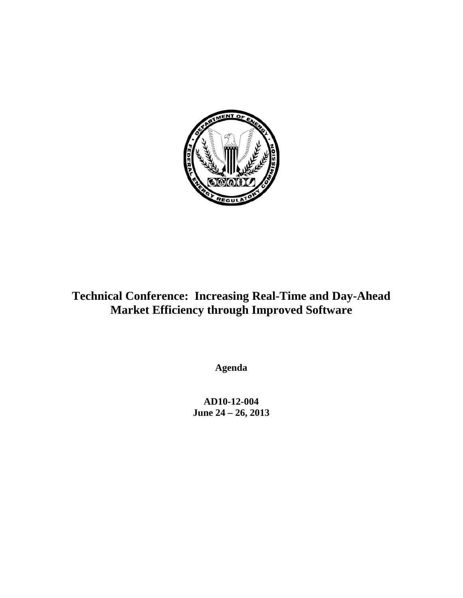

# **Technical Conference: Increasing Real-Time and Day-Ahead Market Efficiency through Improved Software**

**Agenda**

**AD10-12-004 June 24 – 26, 2013**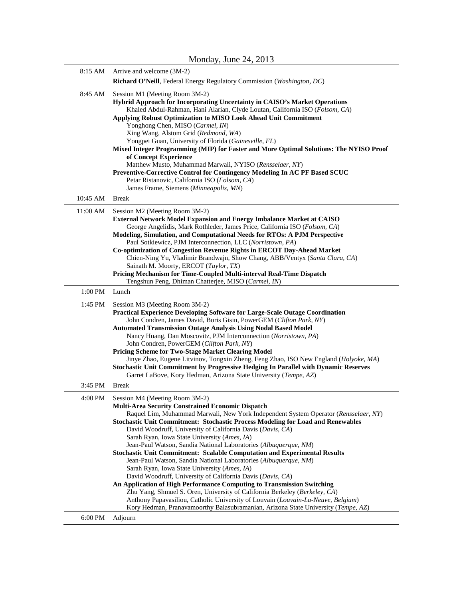|          | $1.1011$ and $1, 0.011$ and $2, 1, 0.01$<br>$-0.1$                                                                                                                                                                                                                                                                                                                                                                                                                                                                                                                                                                                                                                                                                                                                                                                                                                                                                                                                                                                                            |
|----------|---------------------------------------------------------------------------------------------------------------------------------------------------------------------------------------------------------------------------------------------------------------------------------------------------------------------------------------------------------------------------------------------------------------------------------------------------------------------------------------------------------------------------------------------------------------------------------------------------------------------------------------------------------------------------------------------------------------------------------------------------------------------------------------------------------------------------------------------------------------------------------------------------------------------------------------------------------------------------------------------------------------------------------------------------------------|
| 8:15 AM  | Arrive and welcome (3M-2)                                                                                                                                                                                                                                                                                                                                                                                                                                                                                                                                                                                                                                                                                                                                                                                                                                                                                                                                                                                                                                     |
|          | Richard O'Neill, Federal Energy Regulatory Commission (Washington, DC)                                                                                                                                                                                                                                                                                                                                                                                                                                                                                                                                                                                                                                                                                                                                                                                                                                                                                                                                                                                        |
| 8:45 AM  | Session M1 (Meeting Room 3M-2)<br>Hybrid Approach for Incorporating Uncertainty in CAISO's Market Operations<br>Khaled Abdul-Rahman, Hani Alarian, Clyde Loutan, California ISO (Folsom, CA)<br>Applying Robust Optimization to MISO Look Ahead Unit Commitment<br>Yonghong Chen, MISO (Carmel, IN)<br>Xing Wang, Alstom Grid (Redmond, WA)<br>Yongpei Guan, University of Florida (Gainesville, FL)<br>Mixed Integer Programming (MIP) for Faster and More Optimal Solutions: The NYISO Proof<br>of Concept Experience<br>Matthew Musto, Muhammad Marwali, NYISO (Rensselaer, NY)<br>Preventive-Corrective Control for Contingency Modeling In AC PF Based SCUC<br>Petar Ristanovic, California ISO (Folsom, CA)<br>James Frame, Siemens (Minneapolis, MN)                                                                                                                                                                                                                                                                                                   |
| 10:45 AM | <b>Break</b>                                                                                                                                                                                                                                                                                                                                                                                                                                                                                                                                                                                                                                                                                                                                                                                                                                                                                                                                                                                                                                                  |
| 11:00 AM | Session M2 (Meeting Room 3M-2)<br><b>External Network Model Expansion and Energy Imbalance Market at CAISO</b><br>George Angelidis, Mark Rothleder, James Price, California ISO (Folsom, CA)<br>Modeling, Simulation, and Computational Needs for RTOs: A PJM Perspective<br>Paul Sotkiewicz, PJM Interconnection, LLC (Norristown, PA)<br>Co-optimization of Congestion Revenue Rights in ERCOT Day-Ahead Market<br>Chien-Ning Yu, Vladimir Brandwajn, Show Chang, ABB/Ventyx (Santa Clara, CA)<br>Sainath M. Moorty, ERCOT (Taylor, TX)<br>Pricing Mechanism for Time-Coupled Multi-interval Real-Time Dispatch<br>Tengshun Peng, Dhiman Chatterjee, MISO (Carmel, IN)                                                                                                                                                                                                                                                                                                                                                                                      |
| 1:00 PM  | Lunch                                                                                                                                                                                                                                                                                                                                                                                                                                                                                                                                                                                                                                                                                                                                                                                                                                                                                                                                                                                                                                                         |
| 1:45 PM  | Session M3 (Meeting Room 3M-2)<br>Practical Experience Developing Software for Large-Scale Outage Coordination<br>John Condren, James David, Boris Gisin, PowerGEM (Clifton Park, NY)<br><b>Automated Transmission Outage Analysis Using Nodal Based Model</b><br>Nancy Huang, Dan Moscovitz, PJM Interconnection (Norristown, PA)<br>John Condren, PowerGEM (Clifton Park, NY)<br>Pricing Scheme for Two-Stage Market Clearing Model<br>Jinye Zhao, Eugene Litvinov, Tongxin Zheng, Feng Zhao, ISO New England (Holyoke, MA)<br>Stochastic Unit Commitment by Progressive Hedging In Parallel with Dynamic Reserves<br>Garret LaBove, Kory Hedman, Arizona State University (Tempe, AZ)                                                                                                                                                                                                                                                                                                                                                                      |
| 3:45 PM  | <b>Break</b>                                                                                                                                                                                                                                                                                                                                                                                                                                                                                                                                                                                                                                                                                                                                                                                                                                                                                                                                                                                                                                                  |
| 4:00 PM  | Session M4 (Meeting Room 3M-2)<br><b>Multi-Area Security Constrained Economic Dispatch</b><br>Raquel Lim, Muhammad Marwali, New York Independent System Operator (Rensselaer, NY)<br>Stochastic Unit Commitment: Stochastic Process Modeling for Load and Renewables<br>David Woodruff, University of California Davis (Davis, CA)<br>Sarah Ryan, Iowa State University (Ames, IA)<br>Jean-Paul Watson, Sandia National Laboratories (Albuquerque, NM)<br><b>Stochastic Unit Commitment: Scalable Computation and Experimental Results</b><br>Jean-Paul Watson, Sandia National Laboratories (Albuquerque, NM)<br>Sarah Ryan, Iowa State University (Ames, IA)<br>David Woodruff, University of California Davis (Davis, CA)<br>An Application of High Performance Computing to Transmission Switching<br>Zhu Yang, Shmuel S. Oren, University of California Berkeley (Berkeley, CA)<br>Anthony Papavasiliou, Catholic University of Louvain (Louvain-La-Neuve, Belgium)<br>Kory Hedman, Pranavamoorthy Balasubramanian, Arizona State University (Tempe, AZ) |
| 6:00 PM  | Adjourn                                                                                                                                                                                                                                                                                                                                                                                                                                                                                                                                                                                                                                                                                                                                                                                                                                                                                                                                                                                                                                                       |

Monday, June 24, 2013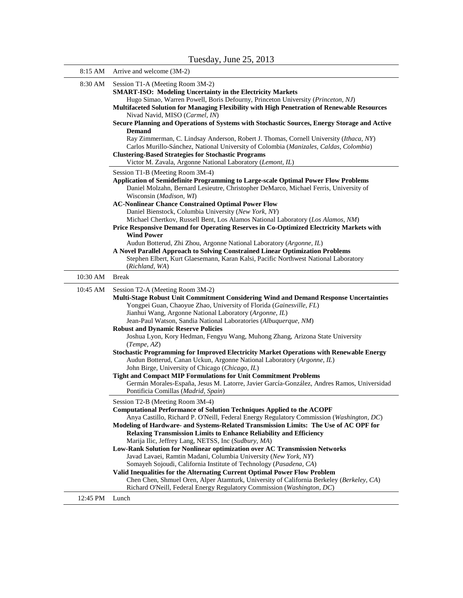| 8:15 AM  | Arrive and welcome (3M-2)                                                                                                                                                                                                                                                                                                                                                                                                                                                                                                                                                                                                                                                                                                                                                                                                                                                                                            |
|----------|----------------------------------------------------------------------------------------------------------------------------------------------------------------------------------------------------------------------------------------------------------------------------------------------------------------------------------------------------------------------------------------------------------------------------------------------------------------------------------------------------------------------------------------------------------------------------------------------------------------------------------------------------------------------------------------------------------------------------------------------------------------------------------------------------------------------------------------------------------------------------------------------------------------------|
| 8:30 AM  | Session T1-A (Meeting Room 3M-2)<br><b>SMART-ISO: Modeling Uncertainty in the Electricity Markets</b><br>Hugo Simao, Warren Powell, Boris Defourny, Princeton University (Princeton, NJ)<br>Multifaceted Solution for Managing Flexibility with High Penetration of Renewable Resources<br>Nivad Navid, MISO (Carmel, IN)<br>Secure Planning and Operations of Systems with Stochastic Sources, Energy Storage and Active<br><b>Demand</b><br>Ray Zimmerman, C. Lindsay Anderson, Robert J. Thomas, Cornell University (Ithaca, NY)<br>Carlos Murillo-Sánchez, National University of Colombia (Manizales, Caldas, Colombia)<br><b>Clustering-Based Strategies for Stochastic Programs</b><br>Victor M. Zavala, Argonne National Laboratory (Lemont, IL)                                                                                                                                                             |
|          | Session T1-B (Meeting Room 3M-4)<br><b>Application of Semidefinite Programming to Large-scale Optimal Power Flow Problems</b><br>Daniel Molzahn, Bernard Lesieutre, Christopher DeMarco, Michael Ferris, University of<br>Wisconsin ( <i>Madison</i> , <i>WI</i> )<br><b>AC-Nonlinear Chance Constrained Optimal Power Flow</b><br>Daniel Bienstock, Columbia University (New York, NY)<br>Michael Chertkov, Russell Bent, Los Alamos National Laboratory (Los Alamos, NM)<br>Price Responsive Demand for Operating Reserves in Co-Optimized Electricity Markets with<br><b>Wind Power</b><br>Audun Botterud, Zhi Zhou, Argonne National Laboratory (Argonne, IL)<br>A Novel Parallel Approach to Solving Constrained Linear Optimization Problems<br>Stephen Elbert, Kurt Glaesemann, Karan Kalsi, Pacific Northwest National Laboratory                                                                            |
| 10:30 AM | (Richland, WA)<br><b>Break</b>                                                                                                                                                                                                                                                                                                                                                                                                                                                                                                                                                                                                                                                                                                                                                                                                                                                                                       |
| 10:45 AM | Session T2-A (Meeting Room 3M-2)<br>Multi-Stage Robust Unit Commitment Considering Wind and Demand Response Uncertainties<br>Yongpei Guan, Chaoyue Zhao, University of Florida (Gainesville, FL)<br>Jianhui Wang, Argonne National Laboratory (Argonne, IL)<br>Jean-Paul Watson, Sandia National Laboratories (Albuquerque, NM)<br><b>Robust and Dynamic Reserve Policies</b><br>Joshua Lyon, Kory Hedman, Fengyu Wang, Muhong Zhang, Arizona State University<br>(Tempe, AZ)<br><b>Stochastic Programming for Improved Electricity Market Operations with Renewable Energy</b><br>Audun Botterud, Canan Uckun, Argonne National Laboratory (Argonne, IL)<br>John Birge, University of Chicago (Chicago, IL)<br>Tight and Compact MIP Formulations for Unit Commitment Problems<br>Germán Morales-España, Jesus M. Latorre, Javier García-González, Andres Ramos, Universidad<br>Pontificia Comillas (Madrid, Spain) |
|          | Session T2-B (Meeting Room 3M-4)<br><b>Computational Performance of Solution Techniques Applied to the ACOPF</b><br>Anya Castillo, Richard P. O'Neill, Federal Energy Regulatory Commission (Washington, DC)<br>Modeling of Hardware- and Systems-Related Transmission Limits: The Use of AC OPF for<br><b>Relaxing Transmission Limits to Enhance Reliability and Efficiency</b><br>Marija Ilic, Jeffrey Lang, NETSS, Inc (Sudbury, MA)<br>Low-Rank Solution for Nonlinear optimization over AC Transmission Networks<br>Javad Lavaei, Ramtin Madani, Columbia University (New York, NY)<br>Somayeh Sojoudi, California Institute of Technology (Pasadena, CA)<br>Valid Inequalities for the Alternating Current Optimal Power Flow Problem<br>Chen Chen, Shmuel Oren, Alper Atamturk, University of California Berkeley (Berkeley, CA)                                                                             |
| 12:45 PM | Richard O'Neill, Federal Energy Regulatory Commission (Washington, DC)<br>Lunch                                                                                                                                                                                                                                                                                                                                                                                                                                                                                                                                                                                                                                                                                                                                                                                                                                      |
|          |                                                                                                                                                                                                                                                                                                                                                                                                                                                                                                                                                                                                                                                                                                                                                                                                                                                                                                                      |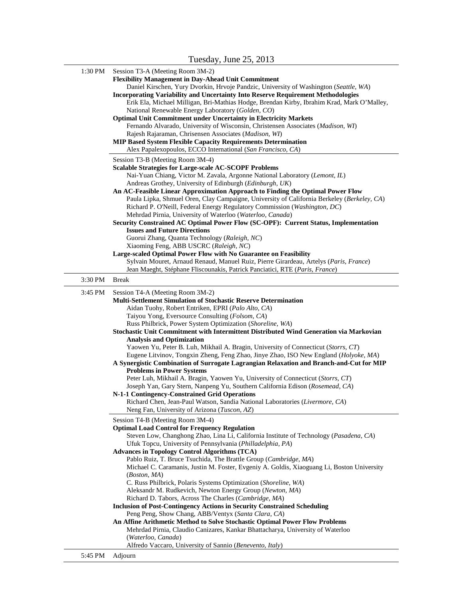| 1:30 PM |                                                                                                      |
|---------|------------------------------------------------------------------------------------------------------|
|         | Session T3-A (Meeting Room 3M-2)                                                                     |
|         | <b>Flexibility Management in Day-Ahead Unit Commitment</b>                                           |
|         | Daniel Kirschen, Yury Dvorkin, Hrvoje Pandzic, University of Washington (Seattle, WA)                |
|         | <b>Incorporating Variability and Uncertainty Into Reserve Requirement Methodologies</b>              |
|         | Erik Ela, Michael Milligan, Bri-Mathias Hodge, Brendan Kirby, Ibrahim Krad, Mark O'Malley,           |
|         | National Renewable Energy Laboratory (Golden, CO)                                                    |
|         | <b>Optimal Unit Commitment under Uncertainty in Electricity Markets</b>                              |
|         |                                                                                                      |
|         | Fernando Alvarado, University of Wisconsin, Christensen Associates (Madison, WI)                     |
|         | Rajesh Rajaraman, Chrisensen Associates (Madison, WI)                                                |
|         | <b>MIP Based System Flexible Capacity Requirements Determination</b>                                 |
|         | Alex Papalexopoulos, ECCO International (San Francisco, CA)                                          |
|         | Session T3-B (Meeting Room 3M-4)                                                                     |
|         | <b>Scalable Strategies for Large-scale AC-SCOPF Problems</b>                                         |
|         | Nai-Yuan Chiang, Victor M. Zavala, Argonne National Laboratory (Lemont, IL)                          |
|         | Andreas Grothey, University of Edinburgh (Edinburgh, UK)                                             |
|         | An AC-Feasible Linear Approximation Approach to Finding the Optimal Power Flow                       |
|         | Paula Lipka, Shmuel Oren, Clay Campaigne, University of California Berkeley (Berkeley, CA)           |
|         | Richard P. O'Neill, Federal Energy Regulatory Commission (Washington, DC)                            |
|         | Mehrdad Pirnia, University of Waterloo (Waterloo, Canada)                                            |
|         |                                                                                                      |
|         | Security Constrained AC Optimal Power Flow (SC-OPF): Current Status, Implementation                  |
|         | <b>Issues and Future Directions</b>                                                                  |
|         | Guorui Zhang, Quanta Technology (Raleigh, NC)                                                        |
|         | Xiaoming Feng, ABB USCRC (Raleigh, NC)                                                               |
|         | Large-scaled Optimal Power Flow with No Guarantee on Feasibility                                     |
|         | Sylvain Mouret, Arnaud Renaud, Manuel Ruiz, Pierre Girardeau, Artelys (Paris, France)                |
|         | Jean Maeght, Stéphane Fliscounakis, Patrick Panciatici, RTE (Paris, France)                          |
| 3:30 PM | <b>Break</b>                                                                                         |
| 3:45 PM | Session T4-A (Meeting Room 3M-2)                                                                     |
|         | <b>Multi-Settlement Simulation of Stochastic Reserve Determination</b>                               |
|         | Aidan Tuohy, Robert Entriken, EPRI (Palo Alto, CA)                                                   |
|         |                                                                                                      |
|         | Taiyou Yong, Eversource Consulting (Folsom, CA)                                                      |
|         | Russ Philbrick, Power System Optimization (Shoreline, WA)                                            |
|         | Stochastic Unit Commitment with Intermittent Distributed Wind Generation via Markovian               |
|         | <b>Analysis and Optimization</b>                                                                     |
|         |                                                                                                      |
|         | Yaowen Yu, Peter B. Luh, Mikhail A. Bragin, University of Connecticut (Storrs, CT)                   |
|         | Eugene Litvinov, Tongxin Zheng, Feng Zhao, Jinye Zhao, ISO New England (Holyoke, MA)                 |
|         | A Synergistic Combination of Surrogate Lagrangian Relaxation and Branch-and-Cut for MIP              |
|         | <b>Problems in Power Systems</b>                                                                     |
|         | Peter Luh, Mikhail A. Bragin, Yaowen Yu, University of Connecticut (Storrs, CT)                      |
|         |                                                                                                      |
|         | Joseph Yan, Gary Stern, Nanpeng Yu, Southern California Edison (Rosemead, CA)                        |
|         | N-1-1 Contingency-Constrained Grid Operations                                                        |
|         | Richard Chen, Jean-Paul Watson, Sandia National Laboratories (Livermore, CA)                         |
|         | Neng Fan, University of Arizona (Tuscon, AZ)                                                         |
|         | Session T4-B (Meeting Room 3M-4)                                                                     |
|         | <b>Optimal Load Control for Frequency Regulation</b>                                                 |
|         | Steven Low, Changhong Zhao, Lina Li, California Institute of Technology (Pasadena, CA)               |
|         | Ufuk Topcu, University of Pennsylvania (Philladelphia, PA)                                           |
|         | <b>Advances in Topology Control Algorithms (TCA)</b>                                                 |
|         | Pablo Ruiz, T. Bruce Tsuchida, The Brattle Group (Cambridge, MA)                                     |
|         | Michael C. Caramanis, Justin M. Foster, Evgeniy A. Goldis, Xiaoguang Li, Boston University           |
|         | (Boston, MA)                                                                                         |
|         | C. Russ Philbrick, Polaris Systems Optimization (Shoreline, WA)                                      |
|         | Aleksandr M. Rudkevich, Newton Energy Group (Newton, MA)                                             |
|         | Richard D. Tabors, Across The Charles (Cambridge, MA)                                                |
|         |                                                                                                      |
|         | <b>Inclusion of Post-Contingency Actions in Security Constrained Scheduling</b>                      |
|         | Peng Peng, Show Chang, ABB/Ventyx (Santa Clara, CA)                                                  |
|         | An Affine Arithmetic Method to Solve Stochastic Optimal Power Flow Problems                          |
|         | Mehrdad Pirnia, Claudio Canizares, Kankar Bhattacharya, University of Waterloo<br>(Waterloo, Canada) |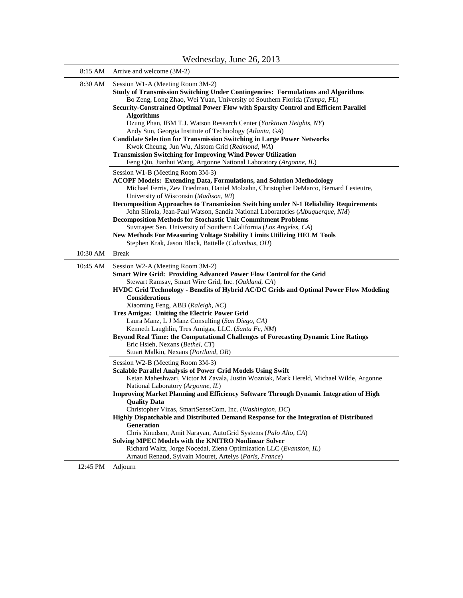| 8:15 AM  | Arrive and welcome (3M-2)                                                                                                                                                                                                                                                                                                                                                                                                                                                                                                                                                                                                                                                                                                                                                                                                                                                                                                                                                                                                                                                                                                                                                                                                                                                                                                                                                                                                                    |
|----------|----------------------------------------------------------------------------------------------------------------------------------------------------------------------------------------------------------------------------------------------------------------------------------------------------------------------------------------------------------------------------------------------------------------------------------------------------------------------------------------------------------------------------------------------------------------------------------------------------------------------------------------------------------------------------------------------------------------------------------------------------------------------------------------------------------------------------------------------------------------------------------------------------------------------------------------------------------------------------------------------------------------------------------------------------------------------------------------------------------------------------------------------------------------------------------------------------------------------------------------------------------------------------------------------------------------------------------------------------------------------------------------------------------------------------------------------|
| 8:30 AM  | Session W1-A (Meeting Room 3M-2)<br>Study of Transmission Switching Under Contingencies: Formulations and Algorithms<br>Bo Zeng, Long Zhao, Wei Yuan, University of Southern Florida (Tampa, FL)<br>Security-Constrained Optimal Power Flow with Sparsity Control and Efficient Parallel<br><b>Algorithms</b><br>Dzung Phan, IBM T.J. Watson Research Center (Yorktown Heights, NY)<br>Andy Sun, Georgia Institute of Technology (Atlanta, GA)<br><b>Candidate Selection for Transmission Switching in Large Power Networks</b><br>Kwok Cheung, Jun Wu, Alstom Grid (Redmond, WA)<br><b>Transmission Switching for Improving Wind Power Utilization</b><br>Feng Qiu, Jianhui Wang, Argonne National Laboratory (Argonne, IL)<br>Session W1-B (Meeting Room 3M-3)<br><b>ACOPF Models: Extending Data, Formulations, and Solution Methodology</b><br>Michael Ferris, Zev Friedman, Daniel Molzahn, Christopher DeMarco, Bernard Lesieutre,<br>University of Wisconsin (Madison, WI)<br>Decomposition Approaches to Transmission Switching under N-1 Reliability Requirements<br>John Siirola, Jean-Paul Watson, Sandia National Laboratories (Albuquerque, NM)<br><b>Decomposition Methods for Stochastic Unit Commitment Problems</b><br>Suvtrajeet Sen, University of Southern California (Los Angeles, CA)<br>New Methods For Measuring Voltage Stability Limits Utilizing HELM Tools<br>Stephen Krak, Jason Black, Battelle (Columbus, OH) |
| 10:30 AM | <b>Break</b>                                                                                                                                                                                                                                                                                                                                                                                                                                                                                                                                                                                                                                                                                                                                                                                                                                                                                                                                                                                                                                                                                                                                                                                                                                                                                                                                                                                                                                 |
| 10:45 AM | Session W2-A (Meeting Room 3M-2)<br>Smart Wire Grid: Providing Advanced Power Flow Control for the Grid<br>Stewart Ramsay, Smart Wire Grid, Inc. (Oakland, CA)<br>HVDC Grid Technology - Benefits of Hybrid AC/DC Grids and Optimal Power Flow Modeling<br>Considerations<br>Xiaoming Feng, ABB (Raleigh, NC)<br>Tres Amigas: Uniting the Electric Power Grid<br>Laura Manz, L J Manz Consulting (San Diego, CA)<br>Kenneth Laughlin, Tres Amigas, LLC. (Santa Fe, NM)<br>Beyond Real Time: the Computational Challenges of Forecasting Dynamic Line Ratings<br>Eric Hsieh, Nexans (Bethel, CT)<br>Stuart Malkin, Nexans (Portland, OR)                                                                                                                                                                                                                                                                                                                                                                                                                                                                                                                                                                                                                                                                                                                                                                                                      |
|          | Session W2-B (Meeting Room 3M-3)<br><b>Scalable Parallel Analysis of Power Grid Models Using Swift</b><br>Ketan Maheshwari, Victor M Zavala, Justin Wozniak, Mark Hereld, Michael Wilde, Argonne<br>National Laboratory (Argonne, IL)<br><b>Improving Market Planning and Efficiency Software Through Dynamic Integration of High</b><br><b>Ouality Data</b><br>Christopher Vizas, SmartSenseCom, Inc. (Washington, DC)<br>Highly Dispatchable and Distributed Demand Response for the Integration of Distributed<br><b>Generation</b><br>Chris Knudsen, Amit Narayan, AutoGrid Systems (Palo Alto, CA)<br>Solving MPEC Models with the KNITRO Nonlinear Solver<br>Richard Waltz, Jorge Nocedal, Ziena Optimization LLC (Evanston, IL)                                                                                                                                                                                                                                                                                                                                                                                                                                                                                                                                                                                                                                                                                                       |
| 12:45 PM | Arnaud Renaud, Sylvain Mouret, Artelys (Paris, France)<br>Adjourn                                                                                                                                                                                                                                                                                                                                                                                                                                                                                                                                                                                                                                                                                                                                                                                                                                                                                                                                                                                                                                                                                                                                                                                                                                                                                                                                                                            |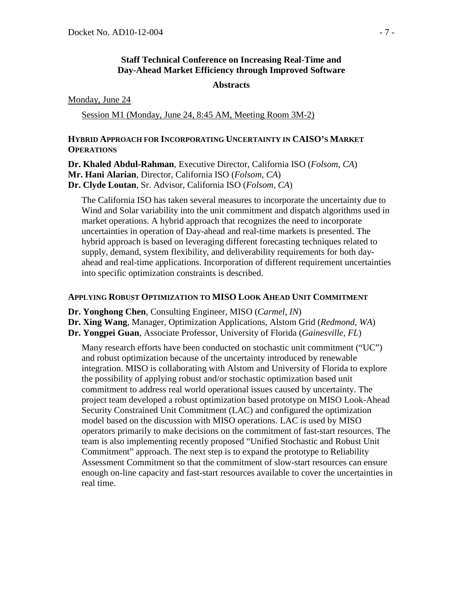## **Staff Technical Conference on Increasing Real-Time and Day-Ahead Market Efficiency through Improved Software**

#### **Abstracts**

Monday, June 24

Session M1 (Monday, June 24, 8:45 AM, Meeting Room 3M-2)

## **HYBRID APPROACH FOR INCORPORATING UNCERTAINTY IN CAISO'S MARKET OPERATIONS**

**Dr. Khaled Abdul-Rahman**, Executive Director, California ISO (*Folsom, CA*) **Mr. Hani Alarian**, Director, California ISO (*Folsom, CA*) **Dr. Clyde Loutan**, Sr. Advisor, California ISO (*Folsom, CA*)

The California ISO has taken several measures to incorporate the uncertainty due to Wind and Solar variability into the unit commitment and dispatch algorithms used in market operations. A hybrid approach that recognizes the need to incorporate uncertainties in operation of Day-ahead and real-time markets is presented. The hybrid approach is based on leveraging different forecasting techniques related to supply, demand, system flexibility, and deliverability requirements for both dayahead and real-time applications. Incorporation of different requirement uncertainties into specific optimization constraints is described.

#### **APPLYING ROBUST OPTIMIZATION TO MISO LOOK AHEAD UNIT COMMITMENT**

**Dr. Yonghong Chen**, Consulting Engineer, MISO (*Carmel, IN*)

**Dr. Xing Wang**, Manager, Optimization Applications, Alstom Grid (*Redmond, WA*)

**Dr. Yongpei Guan**, Associate Professor, University of Florida (*Gainesville, FL*)

Many research efforts have been conducted on stochastic unit commitment ("UC") and robust optimization because of the uncertainty introduced by renewable integration. MISO is collaborating with Alstom and University of Florida to explore the possibility of applying robust and/or stochastic optimization based unit commitment to address real world operational issues caused by uncertainty. The project team developed a robust optimization based prototype on MISO Look-Ahead Security Constrained Unit Commitment (LAC) and configured the optimization model based on the discussion with MISO operations. LAC is used by MISO operators primarily to make decisions on the commitment of fast-start resources. The team is also implementing recently proposed "Unified Stochastic and Robust Unit Commitment" approach. The next step is to expand the prototype to Reliability Assessment Commitment so that the commitment of slow-start resources can ensure enough on-line capacity and fast-start resources available to cover the uncertainties in real time.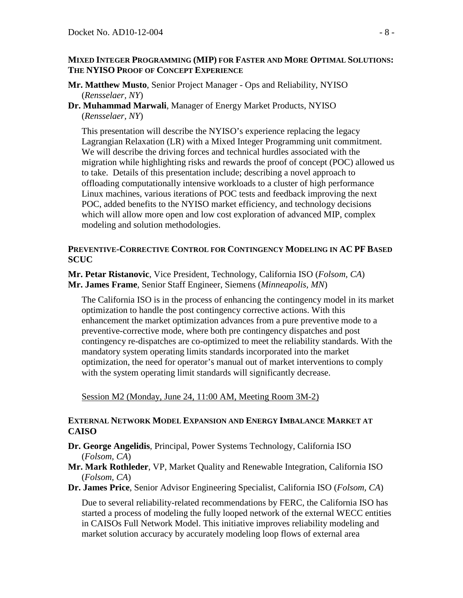#### **MIXED INTEGER PROGRAMMING (MIP) FOR FASTER AND MORE OPTIMAL SOLUTIONS: THE NYISO PROOF OF CONCEPT EXPERIENCE**

- **Mr. Matthew Musto**, Senior Project Manager Ops and Reliability, NYISO (*Rensselaer, NY*)
- **Dr. Muhammad Marwali**, Manager of Energy Market Products, NYISO (*Rensselaer, NY*)

This presentation will describe the NYISO's experience replacing the legacy Lagrangian Relaxation (LR) with a Mixed Integer Programming unit commitment. We will describe the driving forces and technical hurdles associated with the migration while highlighting risks and rewards the proof of concept (POC) allowed us to take. Details of this presentation include; describing a novel approach to offloading computationally intensive workloads to a cluster of high performance Linux machines, various iterations of POC tests and feedback improving the next POC, added benefits to the NYISO market efficiency, and technology decisions which will allow more open and low cost exploration of advanced MIP, complex modeling and solution methodologies.

#### **PREVENTIVE-CORRECTIVE CONTROL FOR CONTINGENCY MODELING IN AC PF BASED SCUC**

**Mr. Petar Ristanovic**, Vice President, Technology, California ISO (*Folsom, CA*) **Mr. James Frame**, Senior Staff Engineer, Siemens (*Minneapolis, MN*)

The California ISO is in the process of enhancing the contingency model in its market optimization to handle the post contingency corrective actions. With this enhancement the market optimization advances from a pure preventive mode to a preventive-corrective mode, where both pre contingency dispatches and post contingency re-dispatches are co-optimized to meet the reliability standards. With the mandatory system operating limits standards incorporated into the market optimization, the need for operator's manual out of market interventions to comply with the system operating limit standards will significantly decrease.

Session M2 (Monday, June 24, 11:00 AM, Meeting Room 3M-2)

## **EXTERNAL NETWORK MODEL EXPANSION AND ENERGY IMBALANCE MARKET AT CAISO**

- **Dr. George Angelidis**, Principal, Power Systems Technology, California ISO (*Folsom, CA*)
- **Mr. Mark Rothleder**, VP, Market Quality and Renewable Integration, California ISO (*Folsom, CA*)
- **Dr. James Price**, Senior Advisor Engineering Specialist, California ISO (*Folsom, CA*)

Due to several reliability-related recommendations by FERC, the California ISO has started a process of modeling the fully looped network of the external WECC entities in CAISOs Full Network Model. This initiative improves reliability modeling and market solution accuracy by accurately modeling loop flows of external area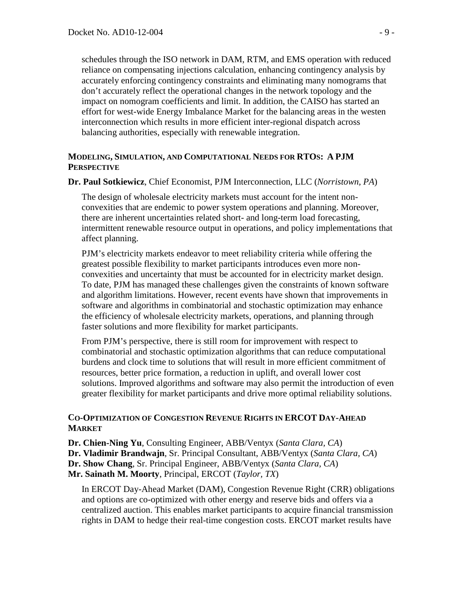schedules through the ISO network in DAM, RTM, and EMS operation with reduced reliance on compensating injections calculation, enhancing contingency analysis by accurately enforcing contingency constraints and eliminating many nomograms that don't accurately reflect the operational changes in the network topology and the impact on nomogram coefficients and limit. In addition, the CAISO has started an effort for west-wide Energy Imbalance Market for the balancing areas in the westen interconnection which results in more efficient inter-regional dispatch across balancing authorities, especially with renewable integration.

## **MODELING, SIMULATION, AND COMPUTATIONAL NEEDS FOR RTOS: A PJM PERSPECTIVE**

**Dr. Paul Sotkiewicz**, Chief Economist, PJM Interconnection, LLC (*Norristown, PA*)

The design of wholesale electricity markets must account for the intent nonconvexities that are endemic to power system operations and planning. Moreover, there are inherent uncertainties related short- and long-term load forecasting, intermittent renewable resource output in operations, and policy implementations that affect planning.

PJM's electricity markets endeavor to meet reliability criteria while offering the greatest possible flexibility to market participants introduces even more nonconvexities and uncertainty that must be accounted for in electricity market design. To date, PJM has managed these challenges given the constraints of known software and algorithm limitations. However, recent events have shown that improvements in software and algorithms in combinatorial and stochastic optimization may enhance the efficiency of wholesale electricity markets, operations, and planning through faster solutions and more flexibility for market participants.

From PJM's perspective, there is still room for improvement with respect to combinatorial and stochastic optimization algorithms that can reduce computational burdens and clock time to solutions that will result in more efficient commitment of resources, better price formation, a reduction in uplift, and overall lower cost solutions. Improved algorithms and software may also permit the introduction of even greater flexibility for market participants and drive more optimal reliability solutions.

# **CO-OPTIMIZATION OF CONGESTION REVENUE RIGHTS IN ERCOT DAY-AHEAD MARKET**

**Dr. Chien-Ning Yu**, Consulting Engineer, ABB/Ventyx (*Santa Clara, CA*) **Dr. Vladimir Brandwajn**, Sr. Principal Consultant, ABB/Ventyx (*Santa Clara, CA*) **Dr. Show Chang**, Sr. Principal Engineer, ABB/Ventyx (*Santa Clara, CA*) **Mr. Sainath M. Moorty**, Principal, ERCOT (*Taylor, TX*)

In ERCOT Day-Ahead Market (DAM), Congestion Revenue Right (CRR) obligations and options are co-optimized with other energy and reserve bids and offers via a centralized auction. This enables market participants to acquire financial transmission rights in DAM to hedge their real-time congestion costs. ERCOT market results have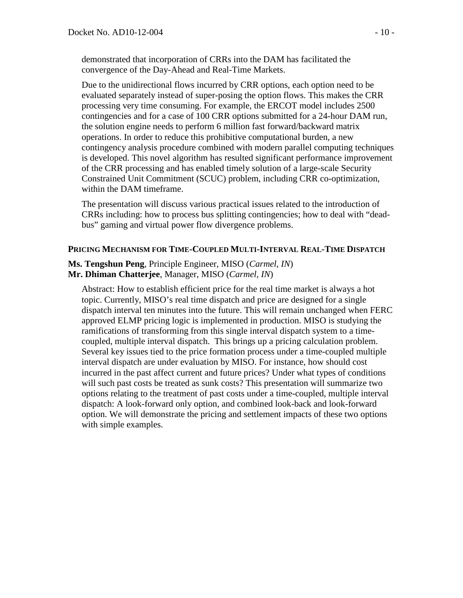demonstrated that incorporation of CRRs into the DAM has facilitated the convergence of the Day-Ahead and Real-Time Markets.

Due to the unidirectional flows incurred by CRR options, each option need to be evaluated separately instead of super-posing the option flows. This makes the CRR processing very time consuming. For example, the ERCOT model includes 2500 contingencies and for a case of 100 CRR options submitted for a 24-hour DAM run, the solution engine needs to perform 6 million fast forward/backward matrix operations. In order to reduce this prohibitive computational burden, a new contingency analysis procedure combined with modern parallel computing techniques is developed. This novel algorithm has resulted significant performance improvement of the CRR processing and has enabled timely solution of a large-scale Security Constrained Unit Commitment (SCUC) problem, including CRR co-optimization, within the DAM timeframe.

The presentation will discuss various practical issues related to the introduction of CRRs including: how to process bus splitting contingencies; how to deal with "deadbus" gaming and virtual power flow divergence problems.

# **PRICING MECHANISM FOR TIME-COUPLED MULTI-INTERVAL REAL-TIME DISPATCH**

**Ms. Tengshun Peng**, Principle Engineer, MISO (*Carmel, IN*) **Mr. Dhiman Chatterjee**, Manager, MISO (*Carmel, IN*)

Abstract: How to establish efficient price for the real time market is always a hot topic. Currently, MISO's real time dispatch and price are designed for a single dispatch interval ten minutes into the future. This will remain unchanged when FERC approved ELMP pricing logic is implemented in production. MISO is studying the ramifications of transforming from this single interval dispatch system to a timecoupled, multiple interval dispatch. This brings up a pricing calculation problem. Several key issues tied to the price formation process under a time-coupled multiple interval dispatch are under evaluation by MISO. For instance, how should cost incurred in the past affect current and future prices? Under what types of conditions will such past costs be treated as sunk costs? This presentation will summarize two options relating to the treatment of past costs under a time-coupled, multiple interval dispatch: A look-forward only option, and combined look-back and look-forward option. We will demonstrate the pricing and settlement impacts of these two options with simple examples.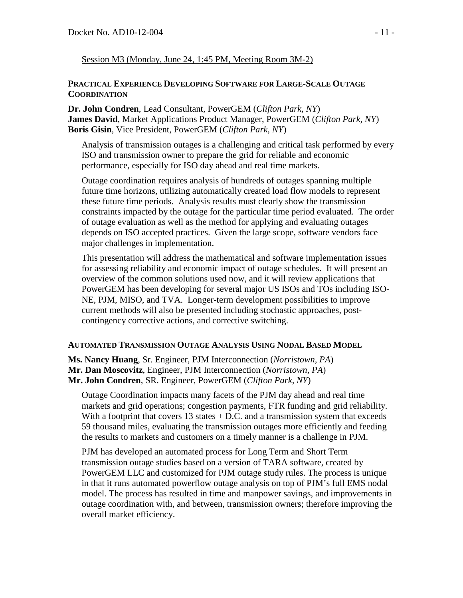## Session M3 (Monday, June 24, 1:45 PM, Meeting Room 3M-2)

#### **PRACTICAL EXPERIENCE DEVELOPING SOFTWARE FOR LARGE-SCALE OUTAGE COORDINATION**

**Dr. John Condren**, Lead Consultant, PowerGEM (*Clifton Park, NY*) **James David**, Market Applications Product Manager, PowerGEM (*Clifton Park, NY*) **Boris Gisin**, Vice President, PowerGEM (*Clifton Park, NY*)

Analysis of transmission outages is a challenging and critical task performed by every ISO and transmission owner to prepare the grid for reliable and economic performance, especially for ISO day ahead and real time markets.

Outage coordination requires analysis of hundreds of outages spanning multiple future time horizons, utilizing automatically created load flow models to represent these future time periods. Analysis results must clearly show the transmission constraints impacted by the outage for the particular time period evaluated. The order of outage evaluation as well as the method for applying and evaluating outages depends on ISO accepted practices. Given the large scope, software vendors face major challenges in implementation.

This presentation will address the mathematical and software implementation issues for assessing reliability and economic impact of outage schedules. It will present an overview of the common solutions used now, and it will review applications that PowerGEM has been developing for several major US ISOs and TOs including ISO-NE, PJM, MISO, and TVA. Longer-term development possibilities to improve current methods will also be presented including stochastic approaches, postcontingency corrective actions, and corrective switching.

#### **AUTOMATED TRANSMISSION OUTAGE ANALYSIS USING NODAL BASED MODEL**

**Ms. Nancy Huang**, Sr. Engineer, PJM Interconnection (*Norristown, PA*) **Mr. Dan Moscovitz**, Engineer, PJM Interconnection (*Norristown, PA*) **Mr. John Condren**, SR. Engineer, PowerGEM (*Clifton Park, NY*)

Outage Coordination impacts many facets of the PJM day ahead and real time markets and grid operations; congestion payments, FTR funding and grid reliability. With a footprint that covers  $13$  states  $+$  D.C. and a transmission system that exceeds 59 thousand miles, evaluating the transmission outages more efficiently and feeding the results to markets and customers on a timely manner is a challenge in PJM.

PJM has developed an automated process for Long Term and Short Term transmission outage studies based on a version of TARA software, created by PowerGEM LLC and customized for PJM outage study rules. The process is unique in that it runs automated powerflow outage analysis on top of PJM's full EMS nodal model. The process has resulted in time and manpower savings, and improvements in outage coordination with, and between, transmission owners; therefore improving the overall market efficiency.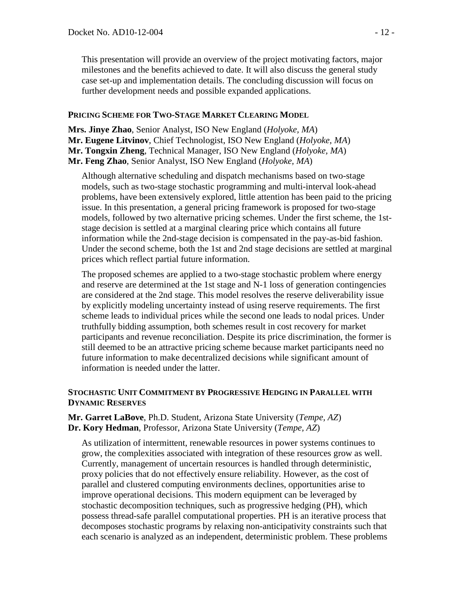This presentation will provide an overview of the project motivating factors, major milestones and the benefits achieved to date. It will also discuss the general study case set-up and implementation details. The concluding discussion will focus on further development needs and possible expanded applications.

## **PRICING SCHEME FOR TWO-STAGE MARKET CLEARING MODEL**

**Mrs. Jinye Zhao**, Senior Analyst, ISO New England (*Holyoke, MA*) **Mr. Eugene Litvinov**, Chief Technologist, ISO New England (*Holyoke, MA*) **Mr. Tongxin Zheng**, Technical Manager, ISO New England (*Holyoke, MA*) **Mr. Feng Zhao**, Senior Analyst, ISO New England (*Holyoke, MA*)

Although alternative scheduling and dispatch mechanisms based on two-stage models, such as two-stage stochastic programming and multi-interval look-ahead problems, have been extensively explored, little attention has been paid to the pricing issue. In this presentation, a general pricing framework is proposed for two-stage models, followed by two alternative pricing schemes. Under the first scheme, the 1ststage decision is settled at a marginal clearing price which contains all future information while the 2nd-stage decision is compensated in the pay-as-bid fashion. Under the second scheme, both the 1st and 2nd stage decisions are settled at marginal prices which reflect partial future information.

The proposed schemes are applied to a two-stage stochastic problem where energy and reserve are determined at the 1st stage and N-1 loss of generation contingencies are considered at the 2nd stage. This model resolves the reserve deliverability issue by explicitly modeling uncertainty instead of using reserve requirements. The first scheme leads to individual prices while the second one leads to nodal prices. Under truthfully bidding assumption, both schemes result in cost recovery for market participants and revenue reconciliation. Despite its price discrimination, the former is still deemed to be an attractive pricing scheme because market participants need no future information to make decentralized decisions while significant amount of information is needed under the latter.

## **STOCHASTIC UNIT COMMITMENT BY PROGRESSIVE HEDGING IN PARALLEL WITH DYNAMIC RESERVES**

**Mr. Garret LaBove**, Ph.D. Student, Arizona State University (*Tempe, AZ*) **Dr. Kory Hedman**, Professor, Arizona State University (*Tempe, AZ*)

As utilization of intermittent, renewable resources in power systems continues to grow, the complexities associated with integration of these resources grow as well. Currently, management of uncertain resources is handled through deterministic, proxy policies that do not effectively ensure reliability. However, as the cost of parallel and clustered computing environments declines, opportunities arise to improve operational decisions. This modern equipment can be leveraged by stochastic decomposition techniques, such as progressive hedging (PH), which possess thread-safe parallel computational properties. PH is an iterative process that decomposes stochastic programs by relaxing non-anticipativity constraints such that each scenario is analyzed as an independent, deterministic problem. These problems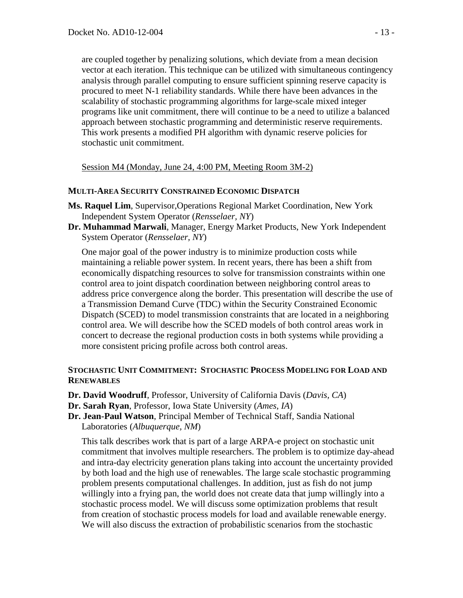are coupled together by penalizing solutions, which deviate from a mean decision vector at each iteration. This technique can be utilized with simultaneous contingency analysis through parallel computing to ensure sufficient spinning reserve capacity is procured to meet N-1 reliability standards. While there have been advances in the scalability of stochastic programming algorithms for large-scale mixed integer programs like unit commitment, there will continue to be a need to utilize a balanced approach between stochastic programming and deterministic reserve requirements. This work presents a modified PH algorithm with dynamic reserve policies for stochastic unit commitment.

Session M4 (Monday, June 24, 4:00 PM, Meeting Room 3M-2)

## **MULTI-AREA SECURITY CONSTRAINED ECONOMIC DISPATCH**

- **Ms. Raquel Lim**, Supervisor,Operations Regional Market Coordination, New York Independent System Operator (*Rensselaer, NY*)
- **Dr. Muhammad Marwali**, Manager, Energy Market Products, New York Independent System Operator (*Rensselaer, NY*)

One major goal of the power industry is to minimize production costs while maintaining a reliable power system. In recent years, there has been a shift from economically dispatching resources to solve for transmission constraints within one control area to joint dispatch coordination between neighboring control areas to address price convergence along the border. This presentation will describe the use of a Transmission Demand Curve (TDC) within the Security Constrained Economic Dispatch (SCED) to model transmission constraints that are located in a neighboring control area. We will describe how the SCED models of both control areas work in concert to decrease the regional production costs in both systems while providing a more consistent pricing profile across both control areas.

## **STOCHASTIC UNIT COMMITMENT: STOCHASTIC PROCESS MODELING FOR LOAD AND RENEWABLES**

- **Dr. David Woodruff**, Professor, University of California Davis (*Davis, CA*)
- **Dr. Sarah Ryan**, Professor, Iowa State University (*Ames, IA*)
- **Dr. Jean-Paul Watson**, Principal Member of Technical Staff, Sandia National Laboratories (*Albuquerque, NM*)

This talk describes work that is part of a large ARPA-e project on stochastic unit commitment that involves multiple researchers. The problem is to optimize day-ahead and intra-day electricity generation plans taking into account the uncertainty provided by both load and the high use of renewables. The large scale stochastic programming problem presents computational challenges. In addition, just as fish do not jump willingly into a frying pan, the world does not create data that jump willingly into a stochastic process model. We will discuss some optimization problems that result from creation of stochastic process models for load and available renewable energy. We will also discuss the extraction of probabilistic scenarios from the stochastic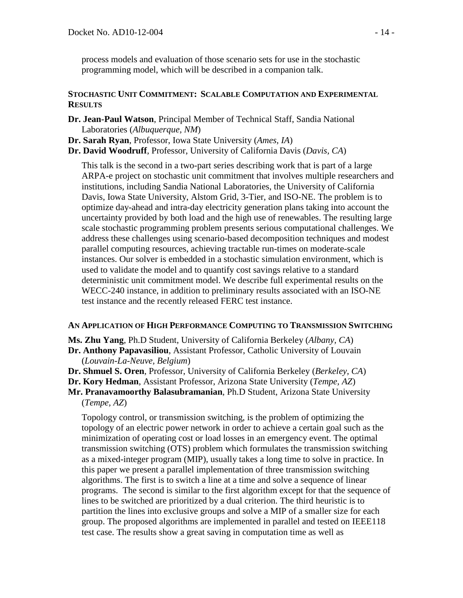process models and evaluation of those scenario sets for use in the stochastic programming model, which will be described in a companion talk.

## **STOCHASTIC UNIT COMMITMENT: SCALABLE COMPUTATION AND EXPERIMENTAL RESULTS**

- **Dr. Jean-Paul Watson**, Principal Member of Technical Staff, Sandia National Laboratories (*Albuquerque, NM*)
- **Dr. Sarah Ryan**, Professor, Iowa State University (*Ames, IA*)
- **Dr. David Woodruff**, Professor, University of California Davis (*Davis, CA*)

This talk is the second in a two-part series describing work that is part of a large ARPA-e project on stochastic unit commitment that involves multiple researchers and institutions, including Sandia National Laboratories, the University of California Davis, Iowa State University, Alstom Grid, 3-Tier, and ISO-NE. The problem is to optimize day-ahead and intra-day electricity generation plans taking into account the uncertainty provided by both load and the high use of renewables. The resulting large scale stochastic programming problem presents serious computational challenges. We address these challenges using scenario-based decomposition techniques and modest parallel computing resources, achieving tractable run-times on moderate-scale instances. Our solver is embedded in a stochastic simulation environment, which is used to validate the model and to quantify cost savings relative to a standard deterministic unit commitment model. We describe full experimental results on the WECC-240 instance, in addition to preliminary results associated with an ISO-NE test instance and the recently released FERC test instance.

# **AN APPLICATION OF HIGH PERFORMANCE COMPUTING TO TRANSMISSION SWITCHING**

**Ms. Zhu Yang**, Ph.D Student, University of California Berkeley (*Albany, CA*)

**Dr. Anthony Papavasiliou**, Assistant Professor, Catholic University of Louvain (*Louvain-La-Neuve, Belgium*)

- **Dr. Shmuel S. Oren**, Professor, University of California Berkeley (*Berkeley, CA*)
- **Dr. Kory Hedman**, Assistant Professor, Arizona State University (*Tempe, AZ*)

**Mr. Pranavamoorthy Balasubramanian**, Ph.D Student, Arizona State University (*Tempe, AZ*)

Topology control, or transmission switching, is the problem of optimizing the topology of an electric power network in order to achieve a certain goal such as the minimization of operating cost or load losses in an emergency event. The optimal transmission switching (OTS) problem which formulates the transmission switching as a mixed-integer program (MIP), usually takes a long time to solve in practice. In this paper we present a parallel implementation of three transmission switching algorithms. The first is to switch a line at a time and solve a sequence of linear programs. The second is similar to the first algorithm except for that the sequence of lines to be switched are prioritized by a dual criterion. The third heuristic is to partition the lines into exclusive groups and solve a MIP of a smaller size for each group. The proposed algorithms are implemented in parallel and tested on IEEE118 test case. The results show a great saving in computation time as well as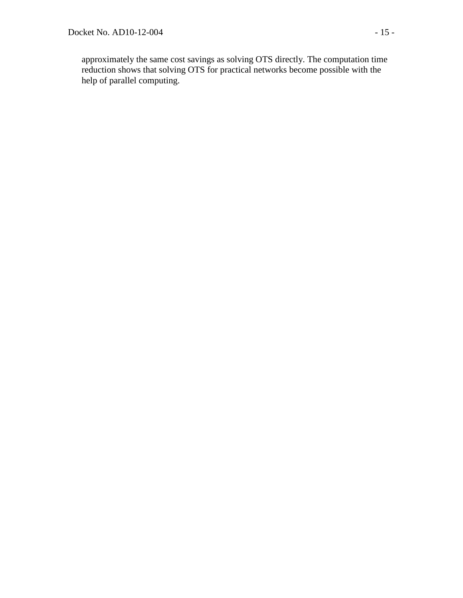approximately the same cost savings as solving OTS directly. The computation time reduction shows that solving OTS for practical networks become possible with the help of parallel computing.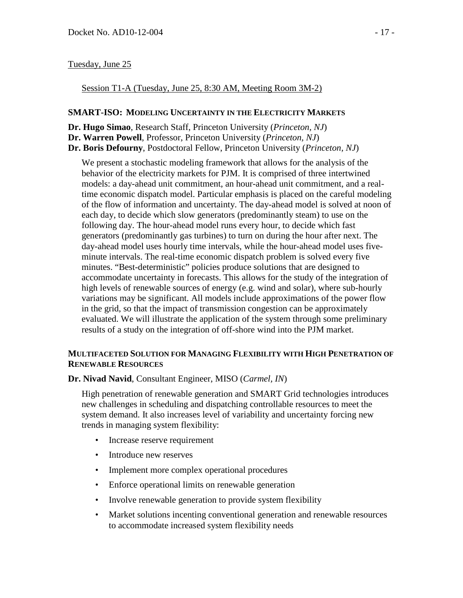## Tuesday, June 25

#### Session T1-A (Tuesday, June 25, 8:30 AM, Meeting Room 3M-2)

#### **SMART-ISO: MODELING UNCERTAINTY IN THE ELECTRICITY MARKETS**

**Dr. Hugo Simao**, Research Staff, Princeton University (*Princeton, NJ*)

**Dr. Warren Powell**, Professor, Princeton University (*Princeton, NJ*)

**Dr. Boris Defourny**, Postdoctoral Fellow, Princeton University (*Princeton, NJ*)

We present a stochastic modeling framework that allows for the analysis of the behavior of the electricity markets for PJM. It is comprised of three intertwined models: a day-ahead unit commitment, an hour-ahead unit commitment, and a realtime economic dispatch model. Particular emphasis is placed on the careful modeling of the flow of information and uncertainty. The day-ahead model is solved at noon of each day, to decide which slow generators (predominantly steam) to use on the following day. The hour-ahead model runs every hour, to decide which fast generators (predominantly gas turbines) to turn on during the hour after next. The day-ahead model uses hourly time intervals, while the hour-ahead model uses fiveminute intervals. The real-time economic dispatch problem is solved every five minutes. "Best-deterministic" policies produce solutions that are designed to accommodate uncertainty in forecasts. This allows for the study of the integration of high levels of renewable sources of energy (e.g. wind and solar), where sub-hourly variations may be significant. All models include approximations of the power flow in the grid, so that the impact of transmission congestion can be approximately evaluated. We will illustrate the application of the system through some preliminary results of a study on the integration of off-shore wind into the PJM market.

## **MULTIFACETED SOLUTION FOR MANAGING FLEXIBILITY WITH HIGH PENETRATION OF RENEWABLE RESOURCES**

**Dr. Nivad Navid**, Consultant Engineer, MISO (*Carmel, IN*)

High penetration of renewable generation and SMART Grid technologies introduces new challenges in scheduling and dispatching controllable resources to meet the system demand. It also increases level of variability and uncertainty forcing new trends in managing system flexibility:

- Increase reserve requirement
- Introduce new reserves
- Implement more complex operational procedures
- Enforce operational limits on renewable generation
- Involve renewable generation to provide system flexibility
- Market solutions incenting conventional generation and renewable resources to accommodate increased system flexibility needs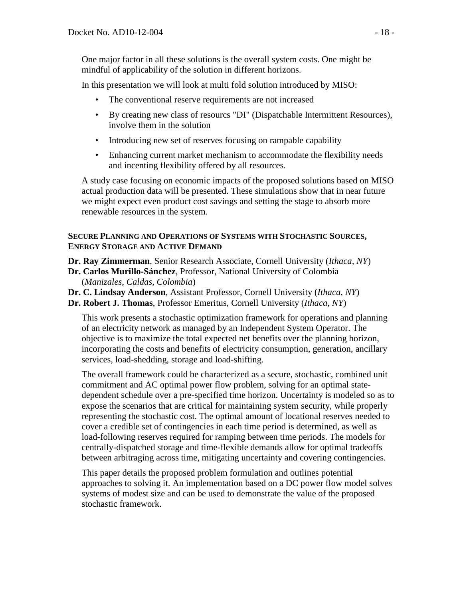One major factor in all these solutions is the overall system costs. One might be mindful of applicability of the solution in different horizons.

In this presentation we will look at multi fold solution introduced by MISO:

- The conventional reserve requirements are not increased
- By creating new class of resourcs "DI" (Dispatchable Intermittent Resources), involve them in the solution
- Introducing new set of reserves focusing on rampable capability
- Enhancing current market mechanism to accommodate the flexibility needs and incenting flexibility offered by all resources.

A study case focusing on economic impacts of the proposed solutions based on MISO actual production data will be presented. These simulations show that in near future we might expect even product cost savings and setting the stage to absorb more renewable resources in the system.

#### **SECURE PLANNING AND OPERATIONS OF SYSTEMS WITH STOCHASTIC SOURCES, ENERGY STORAGE AND ACTIVE DEMAND**

**Dr. Ray Zimmerman**, Senior Research Associate, Cornell University (*Ithaca, NY*)

- **Dr. Carlos Murillo-Sánchez**, Professor, National University of Colombia (*Manizales, Caldas, Colombia*)
- **Dr. C. Lindsay Anderson**, Assistant Professor, Cornell University (*Ithaca, NY*)
- **Dr. Robert J. Thomas**, Professor Emeritus, Cornell University (*Ithaca, NY*)

This work presents a stochastic optimization framework for operations and planning of an electricity network as managed by an Independent System Operator. The objective is to maximize the total expected net benefits over the planning horizon, incorporating the costs and benefits of electricity consumption, generation, ancillary services, load-shedding, storage and load-shifting.

The overall framework could be characterized as a secure, stochastic, combined unit commitment and AC optimal power flow problem, solving for an optimal statedependent schedule over a pre-specified time horizon. Uncertainty is modeled so as to expose the scenarios that are critical for maintaining system security, while properly representing the stochastic cost. The optimal amount of locational reserves needed to cover a credible set of contingencies in each time period is determined, as well as load-following reserves required for ramping between time periods. The models for centrally-dispatched storage and time-flexible demands allow for optimal tradeoffs between arbitraging across time, mitigating uncertainty and covering contingencies.

This paper details the proposed problem formulation and outlines potential approaches to solving it. An implementation based on a DC power flow model solves systems of modest size and can be used to demonstrate the value of the proposed stochastic framework.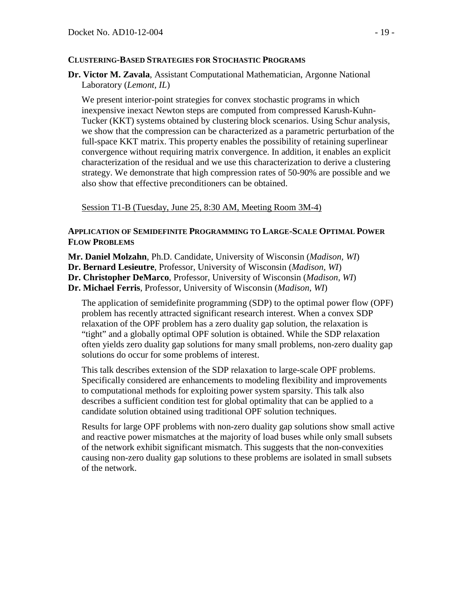# **CLUSTERING-BASED STRATEGIES FOR STOCHASTIC PROGRAMS**

**Dr. Victor M. Zavala**, Assistant Computational Mathematician, Argonne National Laboratory (*Lemont, IL*)

We present interior-point strategies for convex stochastic programs in which inexpensive inexact Newton steps are computed from compressed Karush-Kuhn-Tucker (KKT) systems obtained by clustering block scenarios. Using Schur analysis, we show that the compression can be characterized as a parametric perturbation of the full-space KKT matrix. This property enables the possibility of retaining superlinear convergence without requiring matrix convergence. In addition, it enables an explicit characterization of the residual and we use this characterization to derive a clustering strategy. We demonstrate that high compression rates of 50-90% are possible and we also show that effective preconditioners can be obtained.

Session T1-B (Tuesday, June 25, 8:30 AM, Meeting Room 3M-4)

## **APPLICATION OF SEMIDEFINITE PROGRAMMING TO LARGE-SCALE OPTIMAL POWER FLOW PROBLEMS**

**Mr. Daniel Molzahn**, Ph.D. Candidate, University of Wisconsin (*Madison, WI*)

- **Dr. Bernard Lesieutre**, Professor, University of Wisconsin (*Madison, WI*)
- **Dr. Christopher DeMarco**, Professor, University of Wisconsin (*Madison, WI*)
- **Dr. Michael Ferris**, Professor, University of Wisconsin (*Madison, WI*)

The application of semidefinite programming (SDP) to the optimal power flow (OPF) problem has recently attracted significant research interest. When a convex SDP relaxation of the OPF problem has a zero duality gap solution, the relaxation is "tight" and a globally optimal OPF solution is obtained. While the SDP relaxation often yields zero duality gap solutions for many small problems, non-zero duality gap solutions do occur for some problems of interest.

This talk describes extension of the SDP relaxation to large-scale OPF problems. Specifically considered are enhancements to modeling flexibility and improvements to computational methods for exploiting power system sparsity. This talk also describes a sufficient condition test for global optimality that can be applied to a candidate solution obtained using traditional OPF solution techniques.

Results for large OPF problems with non-zero duality gap solutions show small active and reactive power mismatches at the majority of load buses while only small subsets of the network exhibit significant mismatch. This suggests that the non-convexities causing non-zero duality gap solutions to these problems are isolated in small subsets of the network.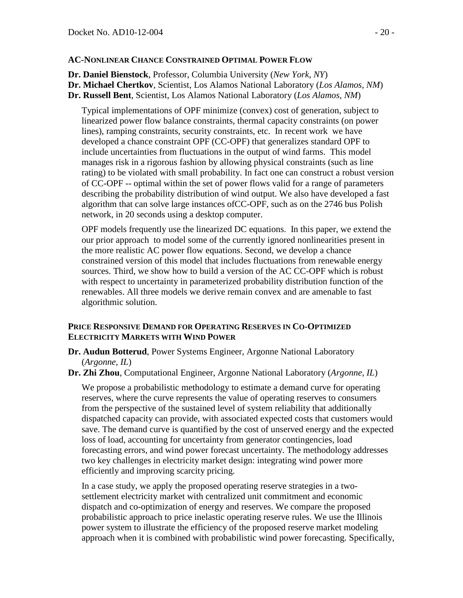# **AC-NONLINEAR CHANCE CONSTRAINED OPTIMAL POWER FLOW**

**Dr. Daniel Bienstock**, Professor, Columbia University (*New York, NY*)

**Dr. Michael Chertkov**, Scientist, Los Alamos National Laboratory (*Los Alamos, NM*)

**Dr. Russell Bent**, Scientist, Los Alamos National Laboratory (*Los Alamos, NM*)

Typical implementations of OPF minimize (convex) cost of generation, subject to linearized power flow balance constraints, thermal capacity constraints (on power lines), ramping constraints, security constraints, etc. In recent work we have developed a chance constraint OPF (CC-OPF) that generalizes standard OPF to include uncertainties from fluctuations in the output of wind farms. This model manages risk in a rigorous fashion by allowing physical constraints (such as line rating) to be violated with small probability. In fact one can construct a robust version of CC-OPF -- optimal within the set of power flows valid for a range of parameters describing the probability distribution of wind output. We also have developed a fast algorithm that can solve large instances ofCC-OPF, such as on the 2746 bus Polish network, in 20 seconds using a desktop computer.

OPF models frequently use the linearized DC equations. In this paper, we extend the our prior approach to model some of the currently ignored nonlinearities present in the more realistic AC power flow equations. Second, we develop a chance constrained version of this model that includes fluctuations from renewable energy sources. Third, we show how to build a version of the AC CC-OPF which is robust with respect to uncertainty in parameterized probability distribution function of the renewables. All three models we derive remain convex and are amenable to fast algorithmic solution.

## **PRICE RESPONSIVE DEMAND FOR OPERATING RESERVES IN CO-OPTIMIZED ELECTRICITY MARKETS WITH WIND POWER**

- **Dr. Audun Botterud**, Power Systems Engineer, Argonne National Laboratory (*Argonne, IL*)
- **Dr. Zhi Zhou**, Computational Engineer, Argonne National Laboratory (*Argonne, IL*)

We propose a probabilistic methodology to estimate a demand curve for operating reserves, where the curve represents the value of operating reserves to consumers from the perspective of the sustained level of system reliability that additionally dispatched capacity can provide, with associated expected costs that customers would save. The demand curve is quantified by the cost of unserved energy and the expected loss of load, accounting for uncertainty from generator contingencies, load forecasting errors, and wind power forecast uncertainty. The methodology addresses two key challenges in electricity market design: integrating wind power more efficiently and improving scarcity pricing.

In a case study, we apply the proposed operating reserve strategies in a twosettlement electricity market with centralized unit commitment and economic dispatch and co-optimization of energy and reserves. We compare the proposed probabilistic approach to price inelastic operating reserve rules. We use the Illinois power system to illustrate the efficiency of the proposed reserve market modeling approach when it is combined with probabilistic wind power forecasting. Specifically,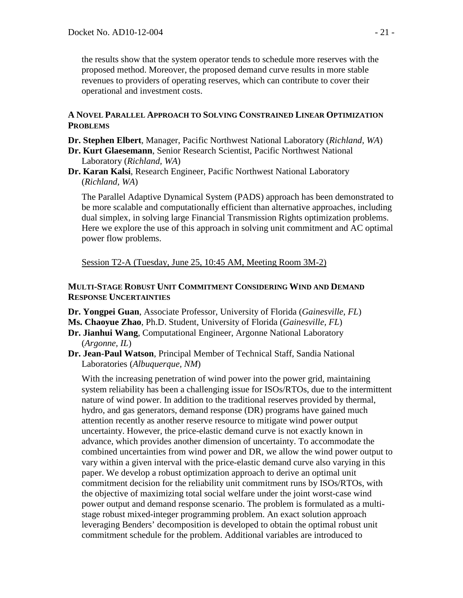the results show that the system operator tends to schedule more reserves with the proposed method. Moreover, the proposed demand curve results in more stable revenues to providers of operating reserves, which can contribute to cover their operational and investment costs.

## **A NOVEL PARALLEL APPROACH TO SOLVING CONSTRAINED LINEAR OPTIMIZATION PROBLEMS**

- **Dr. Stephen Elbert**, Manager, Pacific Northwest National Laboratory (*Richland, WA*)
- **Dr. Kurt Glaesemann**, Senior Research Scientist, Pacific Northwest National Laboratory (*Richland, WA*)
- **Dr. Karan Kalsi**, Research Engineer, Pacific Northwest National Laboratory (*Richland, WA*)

The Parallel Adaptive Dynamical System (PADS) approach has been demonstrated to be more scalable and computationally efficient than alternative approaches, including dual simplex, in solving large Financial Transmission Rights optimization problems. Here we explore the use of this approach in solving unit commitment and AC optimal power flow problems.

Session T2-A (Tuesday, June 25, 10:45 AM, Meeting Room 3M-2)

## **MULTI-STAGE ROBUST UNIT COMMITMENT CONSIDERING WIND AND DEMAND RESPONSE UNCERTAINTIES**

- **Dr. Yongpei Guan**, Associate Professor, University of Florida (*Gainesville, FL*)
- **Ms. Chaoyue Zhao**, Ph.D. Student, University of Florida (*Gainesville, FL*)
- **Dr. Jianhui Wang**, Computational Engineer, Argonne National Laboratory (*Argonne, IL*)
- **Dr. Jean-Paul Watson**, Principal Member of Technical Staff, Sandia National Laboratories (*Albuquerque, NM*)

With the increasing penetration of wind power into the power grid, maintaining system reliability has been a challenging issue for ISOs/RTOs, due to the intermittent nature of wind power. In addition to the traditional reserves provided by thermal, hydro, and gas generators, demand response (DR) programs have gained much attention recently as another reserve resource to mitigate wind power output uncertainty. However, the price-elastic demand curve is not exactly known in advance, which provides another dimension of uncertainty. To accommodate the combined uncertainties from wind power and DR, we allow the wind power output to vary within a given interval with the price-elastic demand curve also varying in this paper. We develop a robust optimization approach to derive an optimal unit commitment decision for the reliability unit commitment runs by ISOs/RTOs, with the objective of maximizing total social welfare under the joint worst-case wind power output and demand response scenario. The problem is formulated as a multistage robust mixed-integer programming problem. An exact solution approach leveraging Benders' decomposition is developed to obtain the optimal robust unit commitment schedule for the problem. Additional variables are introduced to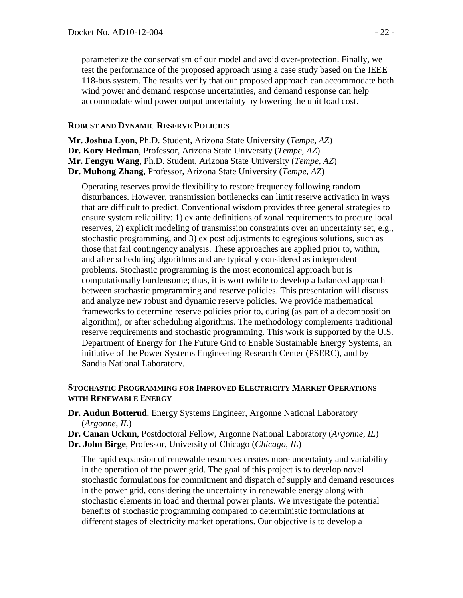parameterize the conservatism of our model and avoid over-protection. Finally, we test the performance of the proposed approach using a case study based on the IEEE 118-bus system. The results verify that our proposed approach can accommodate both wind power and demand response uncertainties, and demand response can help accommodate wind power output uncertainty by lowering the unit load cost.

#### **ROBUST AND DYNAMIC RESERVE POLICIES**

**Mr. Joshua Lyon**, Ph.D. Student, Arizona State University (*Tempe, AZ*) **Dr. Kory Hedman**, Professor, Arizona State University (*Tempe, AZ*) **Mr. Fengyu Wang**, Ph.D. Student, Arizona State University (*Tempe, AZ*) **Dr. Muhong Zhang**, Professor, Arizona State University (*Tempe, AZ*)

Operating reserves provide flexibility to restore frequency following random disturbances. However, transmission bottlenecks can limit reserve activation in ways that are difficult to predict. Conventional wisdom provides three general strategies to ensure system reliability: 1) ex ante definitions of zonal requirements to procure local reserves, 2) explicit modeling of transmission constraints over an uncertainty set, e.g., stochastic programming, and 3) ex post adjustments to egregious solutions, such as those that fail contingency analysis. These approaches are applied prior to, within, and after scheduling algorithms and are typically considered as independent problems. Stochastic programming is the most economical approach but is computationally burdensome; thus, it is worthwhile to develop a balanced approach between stochastic programming and reserve policies. This presentation will discuss and analyze new robust and dynamic reserve policies. We provide mathematical frameworks to determine reserve policies prior to, during (as part of a decomposition algorithm), or after scheduling algorithms. The methodology complements traditional reserve requirements and stochastic programming. This work is supported by the U.S. Department of Energy for The Future Grid to Enable Sustainable Energy Systems, an initiative of the Power Systems Engineering Research Center (PSERC), and by Sandia National Laboratory.

#### **STOCHASTIC PROGRAMMING FOR IMPROVED ELECTRICITY MARKET OPERATIONS WITH RENEWABLE ENERGY**

- **Dr. Audun Botterud**, Energy Systems Engineer, Argonne National Laboratory (*Argonne, IL*)
- **Dr. Canan Uckun**, Postdoctoral Fellow, Argonne National Laboratory (*Argonne, IL*)
- **Dr. John Birge**, Professor, University of Chicago (*Chicago, IL*)

The rapid expansion of renewable resources creates more uncertainty and variability in the operation of the power grid. The goal of this project is to develop novel stochastic formulations for commitment and dispatch of supply and demand resources in the power grid, considering the uncertainty in renewable energy along with stochastic elements in load and thermal power plants. We investigate the potential benefits of stochastic programming compared to deterministic formulations at different stages of electricity market operations. Our objective is to develop a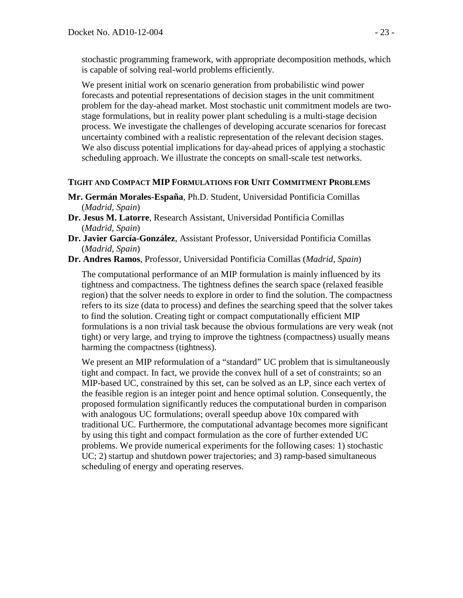stochastic programming framework, with appropriate decomposition methods, which is capable of solving real-world problems efficiently.

We present initial work on scenario generation from probabilistic wind power forecasts and potential representations of decision stages in the unit commitment problem for the day-ahead market. Most stochastic unit commitment models are twostage formulations, but in reality power plant scheduling is a multi-stage decision process. We investigate the challenges of developing accurate scenarios for forecast uncertainty combined with a realistic representation of the relevant decision stages. We also discuss potential implications for day-ahead prices of applying a stochastic scheduling approach. We illustrate the concepts on small-scale test networks.

## **TIGHT AND COMPACT MIP FORMULATIONS FOR UNIT COMMITMENT PROBLEMS**

- **Mr. Germán Morales-España**, Ph.D. Student, Universidad Pontificia Comillas (*Madrid, Spain*)
- **Dr. Jesus M. Latorre**, Research Assistant, Universidad Pontificia Comillas (*Madrid, Spain*)
- **Dr. Javier García-González**, Assistant Professor, Universidad Pontificia Comillas (*Madrid, Spain*)
- **Dr. Andres Ramos**, Professor, Universidad Pontificia Comillas (*Madrid, Spain*)

The computational performance of an MIP formulation is mainly influenced by its tightness and compactness. The tightness defines the search space (relaxed feasible region) that the solver needs to explore in order to find the solution. The compactness refers to its size (data to process) and defines the searching speed that the solver takes to find the solution. Creating tight or compact computationally efficient MIP formulations is a non trivial task because the obvious formulations are very weak (not tight) or very large, and trying to improve the tightness (compactness) usually means harming the compactness (tightness).

We present an MIP reformulation of a "standard" UC problem that is simultaneously tight and compact. In fact, we provide the convex hull of a set of constraints; so an MIP-based UC, constrained by this set, can be solved as an LP, since each vertex of the feasible region is an integer point and hence optimal solution. Consequently, the proposed formulation significantly reduces the computational burden in comparison with analogous UC formulations; overall speedup above 10x compared with traditional UC. Furthermore, the computational advantage becomes more significant by using this tight and compact formulation as the core of further extended UC problems. We provide numerical experiments for the following cases: 1) stochastic UC; 2) startup and shutdown power trajectories; and 3) ramp-based simultaneous scheduling of energy and operating reserves.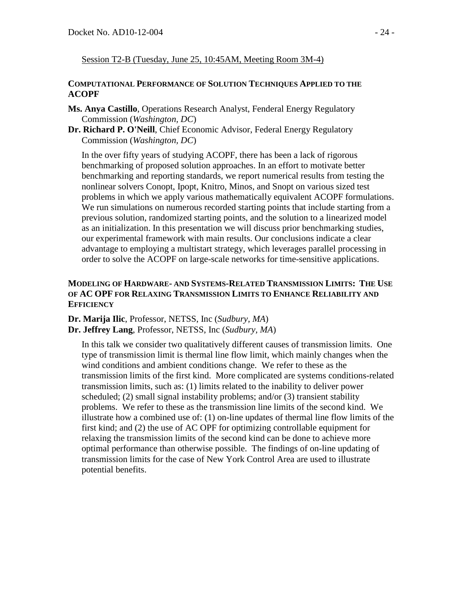Session T2-B (Tuesday, June 25, 10:45AM, Meeting Room 3M-4)

#### **COMPUTATIONAL PERFORMANCE OF SOLUTION TECHNIQUES APPLIED TO THE ACOPF**

- **Ms. Anya Castillo**, Operations Research Analyst, Fenderal Energy Regulatory Commission (*Washington, DC*)
- **Dr. Richard P. O'Neill**, Chief Economic Advisor, Federal Energy Regulatory Commission (*Washington, DC*)

In the over fifty years of studying ACOPF, there has been a lack of rigorous benchmarking of proposed solution approaches. In an effort to motivate better benchmarking and reporting standards, we report numerical results from testing the nonlinear solvers Conopt, Ipopt, Knitro, Minos, and Snopt on various sized test problems in which we apply various mathematically equivalent ACOPF formulations. We run simulations on numerous recorded starting points that include starting from a previous solution, randomized starting points, and the solution to a linearized model as an initialization. In this presentation we will discuss prior benchmarking studies, our experimental framework with main results. Our conclusions indicate a clear advantage to employing a multistart strategy, which leverages parallel processing in order to solve the ACOPF on large-scale networks for time-sensitive applications.

# **MODELING OF HARDWARE- AND SYSTEMS-RELATED TRANSMISSION LIMITS: THE USE OF AC OPF FOR RELAXING TRANSMISSION LIMITS TO ENHANCE RELIABILITY AND EFFICIENCY**

**Dr. Marija Ilic**, Professor, NETSS, Inc (*Sudbury, MA*) **Dr. Jeffrey Lang**, Professor, NETSS, Inc (*Sudbury, MA*)

In this talk we consider two qualitatively different causes of transmission limits. One type of transmission limit is thermal line flow limit, which mainly changes when the wind conditions and ambient conditions change. We refer to these as the transmission limits of the first kind. More complicated are systems conditions-related transmission limits, such as: (1) limits related to the inability to deliver power scheduled; (2) small signal instability problems; and/or (3) transient stability problems. We refer to these as the transmission line limits of the second kind. We illustrate how a combined use of: (1) on-line updates of thermal line flow limits of the first kind; and (2) the use of AC OPF for optimizing controllable equipment for relaxing the transmission limits of the second kind can be done to achieve more optimal performance than otherwise possible. The findings of on-line updating of transmission limits for the case of New York Control Area are used to illustrate potential benefits.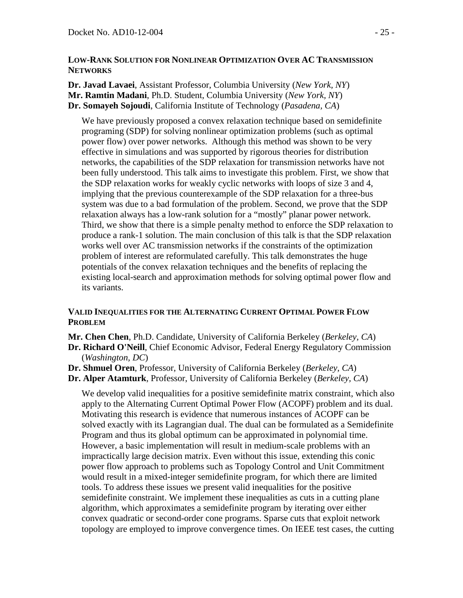#### **LOW-RANK SOLUTION FOR NONLINEAR OPTIMIZATION OVER AC TRANSMISSION NETWORKS**

**Dr. Javad Lavaei**, Assistant Professor, Columbia University (*New York, NY*) **Mr. Ramtin Madani**, Ph.D. Student, Columbia University (*New York, NY*) **Dr. Somayeh Sojoudi**, California Institute of Technology (*Pasadena, CA*)

We have previously proposed a convex relaxation technique based on semidefinite programing (SDP) for solving nonlinear optimization problems (such as optimal power flow) over power networks. Although this method was shown to be very effective in simulations and was supported by rigorous theories for distribution networks, the capabilities of the SDP relaxation for transmission networks have not been fully understood. This talk aims to investigate this problem. First, we show that the SDP relaxation works for weakly cyclic networks with loops of size 3 and 4, implying that the previous counterexample of the SDP relaxation for a three-bus system was due to a bad formulation of the problem. Second, we prove that the SDP relaxation always has a low-rank solution for a "mostly" planar power network. Third, we show that there is a simple penalty method to enforce the SDP relaxation to produce a rank-1 solution. The main conclusion of this talk is that the SDP relaxation works well over AC transmission networks if the constraints of the optimization problem of interest are reformulated carefully. This talk demonstrates the huge potentials of the convex relaxation techniques and the benefits of replacing the existing local-search and approximation methods for solving optimal power flow and its variants.

# **VALID INEQUALITIES FOR THE ALTERNATING CURRENT OPTIMAL POWER FLOW PROBLEM**

**Mr. Chen Chen**, Ph.D. Candidate, University of California Berkeley (*Berkeley, CA*)

**Dr. Richard O'Neill**, Chief Economic Advisor, Federal Energy Regulatory Commission (*Washington, DC*)

- **Dr. Shmuel Oren**, Professor, University of California Berkeley (*Berkeley, CA*)
- **Dr. Alper Atamturk**, Professor, University of California Berkeley (*Berkeley, CA*)

We develop valid inequalities for a positive semidefinite matrix constraint, which also apply to the Alternating Current Optimal Power Flow (ACOPF) problem and its dual. Motivating this research is evidence that numerous instances of ACOPF can be solved exactly with its Lagrangian dual. The dual can be formulated as a Semidefinite Program and thus its global optimum can be approximated in polynomial time. However, a basic implementation will result in medium-scale problems with an impractically large decision matrix. Even without this issue, extending this conic power flow approach to problems such as Topology Control and Unit Commitment would result in a mixed-integer semidefinite program, for which there are limited tools. To address these issues we present valid inequalities for the positive semidefinite constraint. We implement these inequalities as cuts in a cutting plane algorithm, which approximates a semidefinite program by iterating over either convex quadratic or second-order cone programs. Sparse cuts that exploit network topology are employed to improve convergence times. On IEEE test cases, the cutting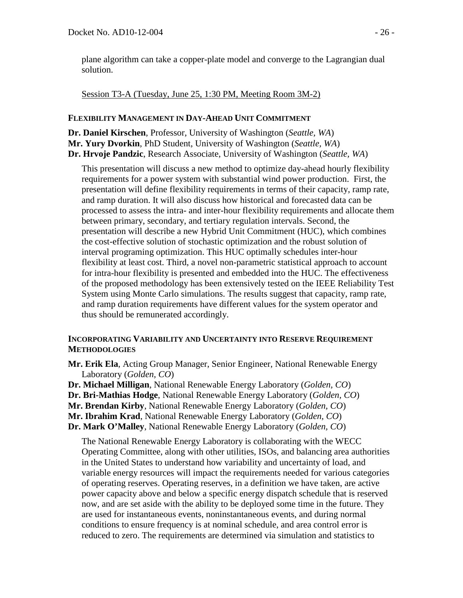plane algorithm can take a copper-plate model and converge to the Lagrangian dual solution.

Session T3-A (Tuesday, June 25, 1:30 PM, Meeting Room 3M-2)

# **FLEXIBILITY MANAGEMENT IN DAY-AHEAD UNIT COMMITMENT**

**Dr. Daniel Kirschen**, Professor, University of Washington (*Seattle, WA*) **Mr. Yury Dvorkin**, PhD Student, University of Washington (*Seattle, WA*) **Dr. Hrvoje Pandzic**, Research Associate, University of Washington (*Seattle, WA*)

This presentation will discuss a new method to optimize day-ahead hourly flexibility requirements for a power system with substantial wind power production. First, the presentation will define flexibility requirements in terms of their capacity, ramp rate, and ramp duration. It will also discuss how historical and forecasted data can be processed to assess the intra- and inter-hour flexibility requirements and allocate them between primary, secondary, and tertiary regulation intervals. Second, the presentation will describe a new Hybrid Unit Commitment (HUC), which combines the cost-effective solution of stochastic optimization and the robust solution of interval programing optimization. This HUC optimally schedules inter-hour flexibility at least cost. Third, a novel non-parametric statistical approach to account for intra-hour flexibility is presented and embedded into the HUC. The effectiveness of the proposed methodology has been extensively tested on the IEEE Reliability Test System using Monte Carlo simulations. The results suggest that capacity, ramp rate, and ramp duration requirements have different values for the system operator and thus should be remunerated accordingly.

# **INCORPORATING VARIABILITY AND UNCERTAINTY INTO RESERVE REQUIREMENT METHODOLOGIES**

- **Mr. Erik Ela**, Acting Group Manager, Senior Engineer, National Renewable Energy Laboratory (*Golden, CO*)
- **Dr. Michael Milligan**, National Renewable Energy Laboratory (*Golden, CO*)
- **Dr. Bri-Mathias Hodge**, National Renewable Energy Laboratory (*Golden, CO*)
- **Mr. Brendan Kirby**, National Renewable Energy Laboratory (*Golden, CO*)
- **Mr. Ibrahim Krad**, National Renewable Energy Laboratory (*Golden, CO*)
- **Dr. Mark O'Malley**, National Renewable Energy Laboratory (*Golden, CO*)

The National Renewable Energy Laboratory is collaborating with the WECC Operating Committee, along with other utilities, ISOs, and balancing area authorities in the United States to understand how variability and uncertainty of load, and variable energy resources will impact the requirements needed for various categories of operating reserves. Operating reserves, in a definition we have taken, are active power capacity above and below a specific energy dispatch schedule that is reserved now, and are set aside with the ability to be deployed some time in the future. They are used for instantaneous events, noninstantaneous events, and during normal conditions to ensure frequency is at nominal schedule, and area control error is reduced to zero. The requirements are determined via simulation and statistics to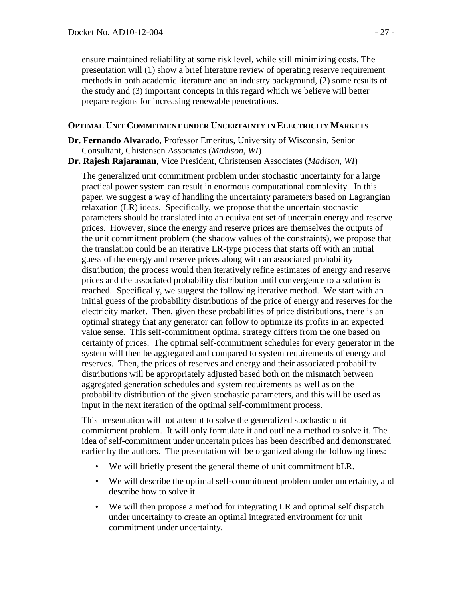ensure maintained reliability at some risk level, while still minimizing costs. The presentation will (1) show a brief literature review of operating reserve requirement methods in both academic literature and an industry background, (2) some results of the study and (3) important concepts in this regard which we believe will better prepare regions for increasing renewable penetrations.

## **OPTIMAL UNIT COMMITMENT UNDER UNCERTAINTY IN ELECTRICITY MARKETS**

- **Dr. Fernando Alvarado**, Professor Emeritus, University of Wisconsin, Senior Consultant, Chistensen Associates (*Madison, WI*)
- **Dr. Rajesh Rajaraman**, Vice President, Christensen Associates (*Madison, WI*)

The generalized unit commitment problem under stochastic uncertainty for a large practical power system can result in enormous computational complexity. In this paper, we suggest a way of handling the uncertainty parameters based on Lagrangian relaxation (LR) ideas. Specifically, we propose that the uncertain stochastic parameters should be translated into an equivalent set of uncertain energy and reserve prices. However, since the energy and reserve prices are themselves the outputs of the unit commitment problem (the shadow values of the constraints), we propose that the translation could be an iterative LR-type process that starts off with an initial guess of the energy and reserve prices along with an associated probability distribution; the process would then iteratively refine estimates of energy and reserve prices and the associated probability distribution until convergence to a solution is reached. Specifically, we suggest the following iterative method. We start with an initial guess of the probability distributions of the price of energy and reserves for the electricity market. Then, given these probabilities of price distributions, there is an optimal strategy that any generator can follow to optimize its profits in an expected value sense. This self-commitment optimal strategy differs from the one based on certainty of prices. The optimal self-commitment schedules for every generator in the system will then be aggregated and compared to system requirements of energy and reserves. Then, the prices of reserves and energy and their associated probability distributions will be appropriately adjusted based both on the mismatch between aggregated generation schedules and system requirements as well as on the probability distribution of the given stochastic parameters, and this will be used as input in the next iteration of the optimal self-commitment process.

This presentation will not attempt to solve the generalized stochastic unit commitment problem. It will only formulate it and outline a method to solve it. The idea of self-commitment under uncertain prices has been described and demonstrated earlier by the authors. The presentation will be organized along the following lines:

- We will briefly present the general theme of unit commitment bLR.
- We will describe the optimal self-commitment problem under uncertainty, and describe how to solve it.
- We will then propose a method for integrating LR and optimal self dispatch under uncertainty to create an optimal integrated environment for unit commitment under uncertainty.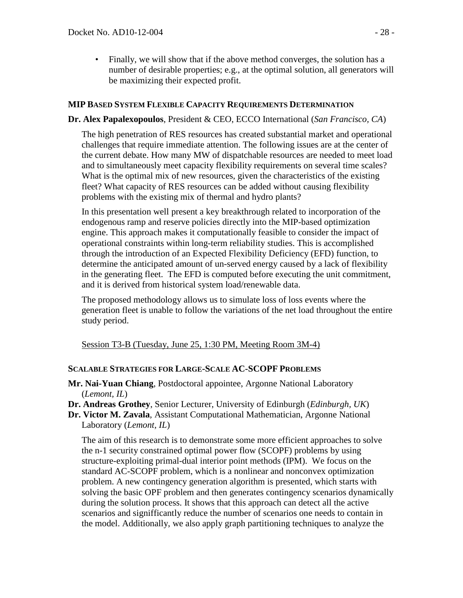• Finally, we will show that if the above method converges, the solution has a number of desirable properties; e.g., at the optimal solution, all generators will be maximizing their expected profit.

## **MIP BASED SYSTEM FLEXIBLE CAPACITY REQUIREMENTS DETERMINATION**

#### **Dr. Alex Papalexopoulos**, President & CEO, ECCO International (*San Francisco, CA*)

The high penetration of RES resources has created substantial market and operational challenges that require immediate attention. The following issues are at the center of the current debate. How many MW of dispatchable resources are needed to meet load and to simultaneously meet capacity flexibility requirements on several time scales? What is the optimal mix of new resources, given the characteristics of the existing fleet? What capacity of RES resources can be added without causing flexibility problems with the existing mix of thermal and hydro plants?

In this presentation well present a key breakthrough related to incorporation of the endogenous ramp and reserve policies directly into the MIP-based optimization engine. This approach makes it computationally feasible to consider the impact of operational constraints within long-term reliability studies. This is accomplished through the introduction of an Expected Flexibility Deficiency (EFD) function, to determine the anticipated amount of un-served energy caused by a lack of flexibility in the generating fleet. The EFD is computed before executing the unit commitment, and it is derived from historical system load/renewable data.

The proposed methodology allows us to simulate loss of loss events where the generation fleet is unable to follow the variations of the net load throughout the entire study period.

Session T3-B (Tuesday, June 25, 1:30 PM, Meeting Room 3M-4)

#### **SCALABLE STRATEGIES FOR LARGE-SCALE AC-SCOPF PROBLEMS**

- **Mr. Nai-Yuan Chiang**, Postdoctoral appointee, Argonne National Laboratory (*Lemont, IL*)
- **Dr. Andreas Grothey**, Senior Lecturer, University of Edinburgh (*Edinburgh, UK*)
- **Dr. Victor M. Zavala**, Assistant Computational Mathematician, Argonne National Laboratory (*Lemont, IL*)

The aim of this research is to demonstrate some more efficient approaches to solve the n-1 security constrained optimal power flow (SCOPF) problems by using structure-exploiting primal-dual interior point methods (IPM). We focus on the standard AC-SCOPF problem, which is a nonlinear and nonconvex optimization problem. A new contingency generation algorithm is presented, which starts with solving the basic OPF problem and then generates contingency scenarios dynamically during the solution process. It shows that this approach can detect all the active scenarios and signifficantly reduce the number of scenarios one needs to contain in the model. Additionally, we also apply graph partitioning techniques to analyze the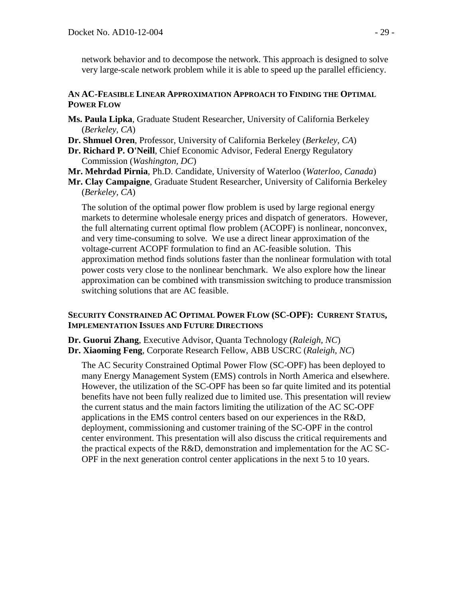network behavior and to decompose the network. This approach is designed to solve very large-scale network problem while it is able to speed up the parallel efficiency.

## **AN AC-FEASIBLE LINEAR APPROXIMATION APPROACH TO FINDING THE OPTIMAL POWER FLOW**

- **Ms. Paula Lipka**, Graduate Student Researcher, University of California Berkeley (*Berkeley, CA*)
- **Dr. Shmuel Oren**, Professor, University of California Berkeley (*Berkeley, CA*)
- **Dr. Richard P. O'Neill**, Chief Economic Advisor, Federal Energy Regulatory Commission (*Washington, DC*)
- **Mr. Mehrdad Pirnia**, Ph.D. Candidate, University of Waterloo (*Waterloo, Canada*)
- **Mr. Clay Campaigne**, Graduate Student Researcher, University of California Berkeley (*Berkeley, CA*)

The solution of the optimal power flow problem is used by large regional energy markets to determine wholesale energy prices and dispatch of generators. However, the full alternating current optimal flow problem (ACOPF) is nonlinear, nonconvex, and very time-consuming to solve. We use a direct linear approximation of the voltage-current ACOPF formulation to find an AC-feasible solution. This approximation method finds solutions faster than the nonlinear formulation with total power costs very close to the nonlinear benchmark. We also explore how the linear approximation can be combined with transmission switching to produce transmission switching solutions that are AC feasible.

# **SECURITY CONSTRAINED AC OPTIMAL POWER FLOW (SC-OPF): CURRENT STATUS, IMPLEMENTATION ISSUES AND FUTURE DIRECTIONS**

**Dr. Guorui Zhang**, Executive Advisor, Quanta Technology (*Raleigh, NC*) **Dr. Xiaoming Feng**, Corporate Research Fellow, ABB USCRC (*Raleigh, NC*)

The AC Security Constrained Optimal Power Flow (SC-OPF) has been deployed to many Energy Management System (EMS) controls in North America and elsewhere. However, the utilization of the SC-OPF has been so far quite limited and its potential benefits have not been fully realized due to limited use. This presentation will review the current status and the main factors limiting the utilization of the AC SC-OPF applications in the EMS control centers based on our experiences in the R&D, deployment, commissioning and customer training of the SC-OPF in the control center environment. This presentation will also discuss the critical requirements and the practical expects of the R&D, demonstration and implementation for the AC SC-OPF in the next generation control center applications in the next 5 to 10 years.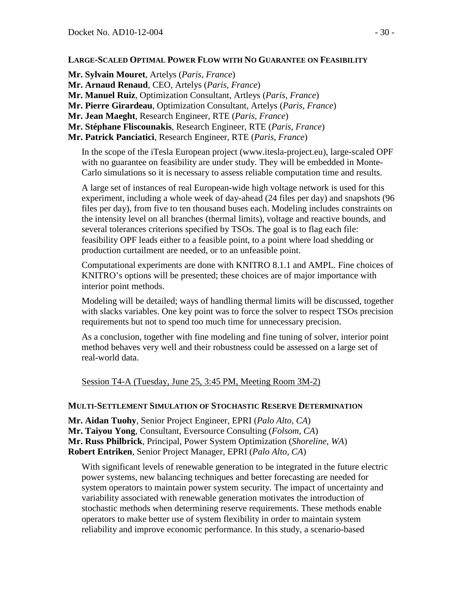## **LARGE-SCALED OPTIMAL POWER FLOW WITH NO GUARANTEE ON FEASIBILITY**

**Mr. Sylvain Mouret**, Artelys (*Paris, France*) **Mr. Arnaud Renaud**, CEO, Artelys (*Paris, France*) **Mr. Manuel Ruiz**, Optimization Consultant, Artleys (*Paris, France*) **Mr. Pierre Girardeau**, Optimization Consultant, Artelys (*Paris, France*) **Mr. Jean Maeght**, Research Engineer, RTE (*Paris, France*) **Mr. Stéphane Fliscounakis**, Research Engineer, RTE (*Paris, France*) **Mr. Patrick Panciatici**, Research Engineer, RTE (*Paris, France*)

In the scope of the iTesla European project (www.itesla-project.eu), large-scaled OPF with no guarantee on feasibility are under study. They will be embedded in Monte-Carlo simulations so it is necessary to assess reliable computation time and results.

A large set of instances of real European-wide high voltage network is used for this experiment, including a whole week of day-ahead (24 files per day) and snapshots (96 files per day), from five to ten thousand buses each. Modeling includes constraints on the intensity level on all branches (thermal limits), voltage and reactive bounds, and several tolerances criterions specified by TSOs. The goal is to flag each file: feasibility OPF leads either to a feasible point, to a point where load shedding or production curtailment are needed, or to an unfeasible point.

Computational experiments are done with KNITRO 8.1.1 and AMPL. Fine choices of KNITRO's options will be presented; these choices are of major importance with interior point methods.

Modeling will be detailed; ways of handling thermal limits will be discussed, together with slacks variables. One key point was to force the solver to respect TSOs precision requirements but not to spend too much time for unnecessary precision.

As a conclusion, together with fine modeling and fine tuning of solver, interior point method behaves very well and their robustness could be assessed on a large set of real-world data.

Session T4-A (Tuesday, June 25, 3:45 PM, Meeting Room 3M-2)

#### **MULTI-SETTLEMENT SIMULATION OF STOCHASTIC RESERVE DETERMINATION**

**Mr. Aidan Tuohy**, Senior Project Engineer, EPRI (*Palo Alto, CA*) **Mr. Taiyou Yong**, Consultant, Eversource Consulting (*Folsom, CA*) **Mr. Russ Philbrick**, Principal, Power System Optimization (*Shoreline, WA*) **Robert Entriken**, Senior Project Manager, EPRI (*Palo Alto, CA*)

With significant levels of renewable generation to be integrated in the future electric power systems, new balancing techniques and better forecasting are needed for system operators to maintain power system security. The impact of uncertainty and variability associated with renewable generation motivates the introduction of stochastic methods when determining reserve requirements. These methods enable operators to make better use of system flexibility in order to maintain system reliability and improve economic performance. In this study, a scenario-based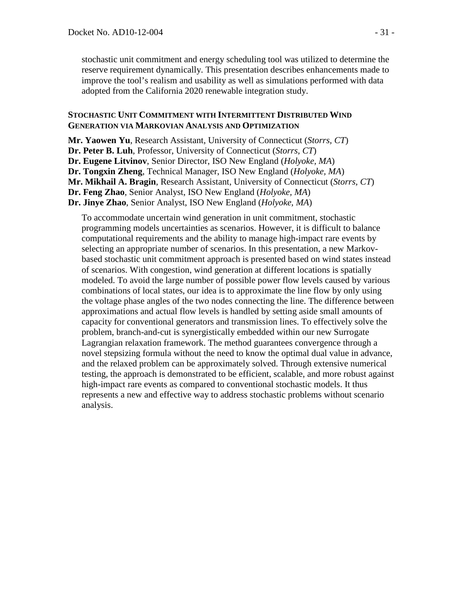stochastic unit commitment and energy scheduling tool was utilized to determine the reserve requirement dynamically. This presentation describes enhancements made to improve the tool's realism and usability as well as simulations performed with data adopted from the California 2020 renewable integration study.

#### **STOCHASTIC UNIT COMMITMENT WITH INTERMITTENT DISTRIBUTED WIND GENERATION VIA MARKOVIAN ANALYSIS AND OPTIMIZATION**

**Mr. Yaowen Yu**, Research Assistant, University of Connecticut (*Storrs, CT*) **Dr. Peter B. Luh**, Professor, University of Connecticut (*Storrs, CT*) **Dr. Eugene Litvinov**, Senior Director, ISO New England (*Holyoke, MA*) **Dr. Tongxin Zheng**, Technical Manager, ISO New England (*Holyoke, MA*) **Mr. Mikhail A. Bragin**, Research Assistant, University of Connecticut (*Storrs, CT*) **Dr. Feng Zhao**, Senior Analyst, ISO New England (*Holyoke, MA*) **Dr. Jinye Zhao**, Senior Analyst, ISO New England (*Holyoke, MA*)

To accommodate uncertain wind generation in unit commitment, stochastic programming models uncertainties as scenarios. However, it is difficult to balance computational requirements and the ability to manage high-impact rare events by selecting an appropriate number of scenarios. In this presentation, a new Markovbased stochastic unit commitment approach is presented based on wind states instead of scenarios. With congestion, wind generation at different locations is spatially modeled. To avoid the large number of possible power flow levels caused by various combinations of local states, our idea is to approximate the line flow by only using the voltage phase angles of the two nodes connecting the line. The difference between approximations and actual flow levels is handled by setting aside small amounts of capacity for conventional generators and transmission lines. To effectively solve the problem, branch-and-cut is synergistically embedded within our new Surrogate Lagrangian relaxation framework. The method guarantees convergence through a novel stepsizing formula without the need to know the optimal dual value in advance, and the relaxed problem can be approximately solved. Through extensive numerical testing, the approach is demonstrated to be efficient, scalable, and more robust against high-impact rare events as compared to conventional stochastic models. It thus represents a new and effective way to address stochastic problems without scenario analysis.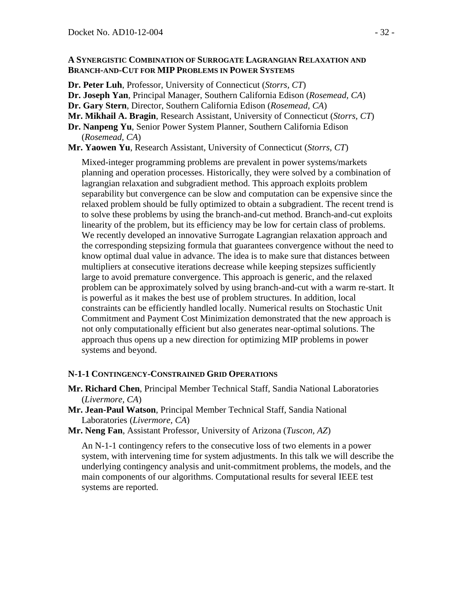#### **A SYNERGISTIC COMBINATION OF SURROGATE LAGRANGIAN RELAXATION AND BRANCH-AND-CUT FOR MIP PROBLEMS IN POWER SYSTEMS**

**Dr. Peter Luh**, Professor, University of Connecticut (*Storrs, CT*)

- **Dr. Joseph Yan**, Principal Manager, Southern California Edison (*Rosemead, CA*)
- **Dr. Gary Stern**, Director, Southern California Edison (*Rosemead, CA*)
- **Mr. Mikhail A. Bragin**, Research Assistant, University of Connecticut (*Storrs, CT*)
- **Dr. Nanpeng Yu**, Senior Power System Planner, Southern California Edison (*Rosemead, CA*)

**Mr. Yaowen Yu**, Research Assistant, University of Connecticut (*Storrs, CT*)

Mixed-integer programming problems are prevalent in power systems/markets planning and operation processes. Historically, they were solved by a combination of lagrangian relaxation and subgradient method. This approach exploits problem separability but convergence can be slow and computation can be expensive since the relaxed problem should be fully optimized to obtain a subgradient. The recent trend is to solve these problems by using the branch-and-cut method. Branch-and-cut exploits linearity of the problem, but its efficiency may be low for certain class of problems. We recently developed an innovative Surrogate Lagrangian relaxation approach and the corresponding stepsizing formula that guarantees convergence without the need to know optimal dual value in advance. The idea is to make sure that distances between multipliers at consecutive iterations decrease while keeping stepsizes sufficiently large to avoid premature convergence. This approach is generic, and the relaxed problem can be approximately solved by using branch-and-cut with a warm re-start. It is powerful as it makes the best use of problem structures. In addition, local constraints can be efficiently handled locally. Numerical results on Stochastic Unit Commitment and Payment Cost Minimization demonstrated that the new approach is not only computationally efficient but also generates near-optimal solutions. The approach thus opens up a new direction for optimizing MIP problems in power systems and beyond.

#### **N-1-1 CONTINGENCY-CONSTRAINED GRID OPERATIONS**

- **Mr. Richard Chen**, Principal Member Technical Staff, Sandia National Laboratories (*Livermore, CA*)
- **Mr. Jean-Paul Watson**, Principal Member Technical Staff, Sandia National Laboratories (*Livermore, CA*)
- **Mr. Neng Fan**, Assistant Professor, University of Arizona (*Tuscon, AZ*)

An N-1-1 contingency refers to the consecutive loss of two elements in a power system, with intervening time for system adjustments. In this talk we will describe the underlying contingency analysis and unit-commitment problems, the models, and the main components of our algorithms. Computational results for several IEEE test systems are reported.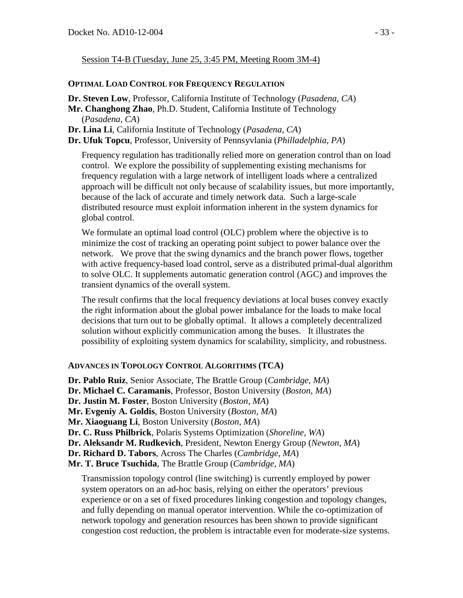Session T4-B (Tuesday, June 25, 3:45 PM, Meeting Room 3M-4)

## **OPTIMAL LOAD CONTROL FOR FREQUENCY REGULATION**

**Dr. Steven Low**, Professor, California Institute of Technology (*Pasadena, CA*)

- **Mr. Changhong Zhao**, Ph.D. Student, California Institute of Technology (*Pasadena, CA*)
- **Dr. Lina Li**, California Institute of Technology (*Pasadena, CA*)

**Dr. Ufuk Topcu**, Professor, University of Pennsyvlania (*Philladelphia, PA*)

Frequency regulation has traditionally relied more on generation control than on load control. We explore the possibility of supplementing existing mechanisms for frequency regulation with a large network of intelligent loads where a centralized approach will be difficult not only because of scalability issues, but more importantly, because of the lack of accurate and timely network data. Such a large-scale distributed resource must exploit information inherent in the system dynamics for global control.

We formulate an optimal load control (OLC) problem where the objective is to minimize the cost of tracking an operating point subject to power balance over the network. We prove that the swing dynamics and the branch power flows, together with active frequency-based load control, serve as a distributed primal-dual algorithm to solve OLC. It supplements automatic generation control (AGC) and improves the transient dynamics of the overall system.

The result confirms that the local frequency deviations at local buses convey exactly the right information about the global power imbalance for the loads to make local decisions that turn out to be globally optimal. It allows a completely decentralized solution without explicitly communication among the buses. It illustrates the possibility of exploiting system dynamics for scalability, simplicity, and robustness.

# **ADVANCES IN TOPOLOGY CONTROL ALGORITHMS (TCA)**

**Dr. Pablo Ruiz**, Senior Associate, The Brattle Group (*Cambridge, MA*) **Dr. Michael C. Caramanis**, Professor, Boston University (*Boston, MA*) **Dr. Justin M. Foster**, Boston University (*Boston, MA*) **Mr. Evgeniy A. Goldis**, Boston University (*Boston, MA*) **Mr. Xiaoguang Li**, Boston University (*Boston, MA*) **Dr. C. Russ Philbrick**, Polaris Systems Optimization (*Shoreline, WA*) **Dr. Aleksandr M. Rudkevich**, President, Newton Energy Group (*Newton, MA*) **Dr. Richard D. Tabors**, Across The Charles (*Cambridge, MA*) **Mr. T. Bruce Tsuchida**, The Brattle Group (*Cambridge, MA*) Transmission topology control (line switching) is currently employed by power

system operators on an ad-hoc basis, relying on either the operators' previous experience or on a set of fixed procedures linking congestion and topology changes, and fully depending on manual operator intervention. While the co-optimization of network topology and generation resources has been shown to provide significant congestion cost reduction, the problem is intractable even for moderate-size systems.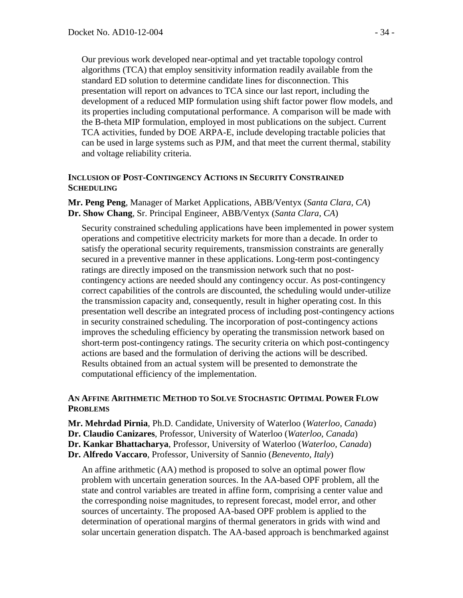Our previous work developed near-optimal and yet tractable topology control algorithms (TCA) that employ sensitivity information readily available from the standard ED solution to determine candidate lines for disconnection. This presentation will report on advances to TCA since our last report, including the development of a reduced MIP formulation using shift factor power flow models, and its properties including computational performance. A comparison will be made with the B-theta MIP formulation, employed in most publications on the subject. Current TCA activities, funded by DOE ARPA-E, include developing tractable policies that can be used in large systems such as PJM, and that meet the current thermal, stability and voltage reliability criteria.

#### **INCLUSION OF POST-CONTINGENCY ACTIONS IN SECURITY CONSTRAINED SCHEDULING**

**Mr. Peng Peng**, Manager of Market Applications, ABB/Ventyx (*Santa Clara, CA*) **Dr. Show Chang**, Sr. Principal Engineer, ABB/Ventyx (*Santa Clara, CA*)

Security constrained scheduling applications have been implemented in power system operations and competitive electricity markets for more than a decade. In order to satisfy the operational security requirements, transmission constraints are generally secured in a preventive manner in these applications. Long-term post-contingency ratings are directly imposed on the transmission network such that no postcontingency actions are needed should any contingency occur. As post-contingency correct capabilities of the controls are discounted, the scheduling would under-utilize the transmission capacity and, consequently, result in higher operating cost. In this presentation well describe an integrated process of including post-contingency actions in security constrained scheduling. The incorporation of post-contingency actions improves the scheduling efficiency by operating the transmission network based on short-term post-contingency ratings. The security criteria on which post-contingency actions are based and the formulation of deriving the actions will be described. Results obtained from an actual system will be presented to demonstrate the computational efficiency of the implementation.

# **AN AFFINE ARITHMETIC METHOD TO SOLVE STOCHASTIC OPTIMAL POWER FLOW PROBLEMS**

- **Mr. Mehrdad Pirnia**, Ph.D. Candidate, University of Waterloo (*Waterloo, Canada*)
- **Dr. Claudio Canizares**, Professor, University of Waterloo (*Waterloo, Canada*)
- **Dr. Kankar Bhattacharya**, Professor, University of Waterloo (*Waterloo, Canada*)
- **Dr. Alfredo Vaccaro**, Professor, University of Sannio (*Benevento, Italy*)

An affine arithmetic (AA) method is proposed to solve an optimal power flow problem with uncertain generation sources. In the AA-based OPF problem, all the state and control variables are treated in affine form, comprising a center value and the corresponding noise magnitudes, to represent forecast, model error, and other sources of uncertainty. The proposed AA-based OPF problem is applied to the determination of operational margins of thermal generators in grids with wind and solar uncertain generation dispatch. The AA-based approach is benchmarked against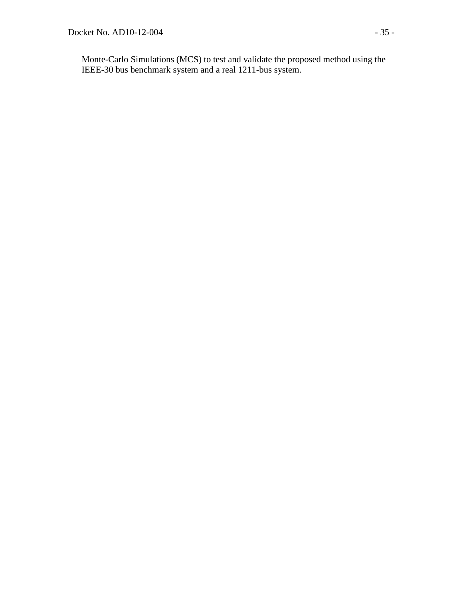Monte-Carlo Simulations (MCS) to test and validate the proposed method using the IEEE-30 bus benchmark system and a real 1211-bus system.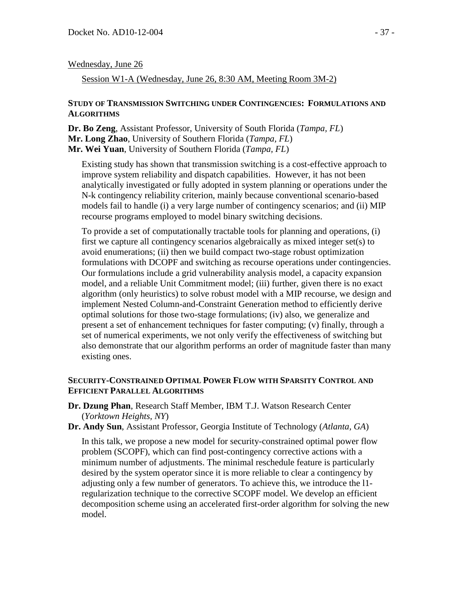## Wednesday, June 26

Session W1-A (Wednesday, June 26, 8:30 AM, Meeting Room 3M-2)

#### **STUDY OF TRANSMISSION SWITCHING UNDER CONTINGENCIES: FORMULATIONS AND ALGORITHMS**

**Dr. Bo Zeng**, Assistant Professor, University of South Florida (*Tampa, FL*) **Mr. Long Zhao**, University of Southern Florida (*Tampa, FL*) **Mr. Wei Yuan**, University of Southern Florida (*Tampa, FL*)

Existing study has shown that transmission switching is a cost-effective approach to improve system reliability and dispatch capabilities. However, it has not been analytically investigated or fully adopted in system planning or operations under the N-k contingency reliability criterion, mainly because conventional scenario-based models fail to handle (i) a very large number of contingency scenarios; and (ii) MIP recourse programs employed to model binary switching decisions.

To provide a set of computationally tractable tools for planning and operations, (i) first we capture all contingency scenarios algebraically as mixed integer set(s) to avoid enumerations; (ii) then we build compact two-stage robust optimization formulations with DCOPF and switching as recourse operations under contingencies. Our formulations include a grid vulnerability analysis model, a capacity expansion model, and a reliable Unit Commitment model; (iii) further, given there is no exact algorithm (only heuristics) to solve robust model with a MIP recourse, we design and implement Nested Column-and-Constraint Generation method to efficiently derive optimal solutions for those two-stage formulations; (iv) also, we generalize and present a set of enhancement techniques for faster computing; (v) finally, through a set of numerical experiments, we not only verify the effectiveness of switching but also demonstrate that our algorithm performs an order of magnitude faster than many existing ones.

## **SECURITY-CONSTRAINED OPTIMAL POWER FLOW WITH SPARSITY CONTROL AND EFFICIENT PARALLEL ALGORITHMS**

- **Dr. Dzung Phan**, Research Staff Member, IBM T.J. Watson Research Center (*Yorktown Heights, NY*)
- **Dr. Andy Sun**, Assistant Professor, Georgia Institute of Technology (*Atlanta, GA*)

In this talk, we propose a new model for security-constrained optimal power flow problem (SCOPF), which can find post-contingency corrective actions with a minimum number of adjustments. The minimal reschedule feature is particularly desired by the system operator since it is more reliable to clear a contingency by adjusting only a few number of generators. To achieve this, we introduce the l1 regularization technique to the corrective SCOPF model. We develop an efficient decomposition scheme using an accelerated first-order algorithm for solving the new model.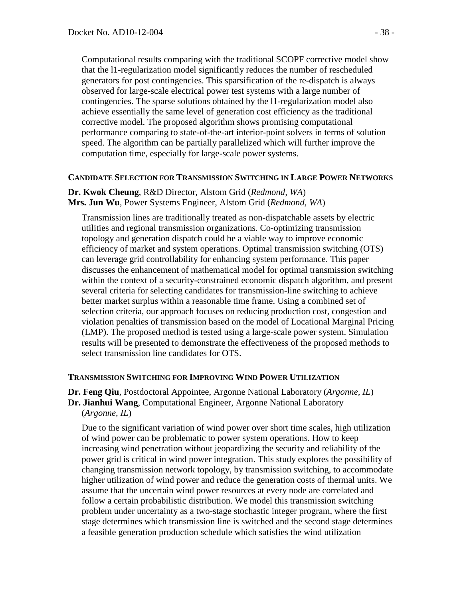Computational results comparing with the traditional SCOPF corrective model show that the l1-regularization model significantly reduces the number of rescheduled generators for post contingencies. This sparsification of the re-dispatch is always observed for large-scale electrical power test systems with a large number of contingencies. The sparse solutions obtained by the l1-regularization model also achieve essentially the same level of generation cost efficiency as the traditional corrective model. The proposed algorithm shows promising computational performance comparing to state-of-the-art interior-point solvers in terms of solution speed. The algorithm can be partially parallelized which will further improve the computation time, especially for large-scale power systems.

#### **CANDIDATE SELECTION FOR TRANSMISSION SWITCHING IN LARGE POWER NETWORKS**

#### **Dr. Kwok Cheung**, R&D Director, Alstom Grid (*Redmond, WA*) **Mrs. Jun Wu**, Power Systems Engineer, Alstom Grid (*Redmond, WA*)

Transmission lines are traditionally treated as non-dispatchable assets by electric utilities and regional transmission organizations. Co-optimizing transmission topology and generation dispatch could be a viable way to improve economic efficiency of market and system operations. Optimal transmission switching (OTS) can leverage grid controllability for enhancing system performance. This paper discusses the enhancement of mathematical model for optimal transmission switching within the context of a security-constrained economic dispatch algorithm, and present several criteria for selecting candidates for transmission-line switching to achieve better market surplus within a reasonable time frame. Using a combined set of selection criteria, our approach focuses on reducing production cost, congestion and violation penalties of transmission based on the model of Locational Marginal Pricing (LMP). The proposed method is tested using a large-scale power system. Simulation results will be presented to demonstrate the effectiveness of the proposed methods to select transmission line candidates for OTS.

#### **TRANSMISSION SWITCHING FOR IMPROVING WIND POWER UTILIZATION**

**Dr. Feng Qiu**, Postdoctoral Appointee, Argonne National Laboratory (*Argonne, IL*) **Dr. Jianhui Wang**, Computational Engineer, Argonne National Laboratory (*Argonne, IL*)

Due to the significant variation of wind power over short time scales, high utilization of wind power can be problematic to power system operations. How to keep increasing wind penetration without jeopardizing the security and reliability of the power grid is critical in wind power integration. This study explores the possibility of changing transmission network topology, by transmission switching, to accommodate higher utilization of wind power and reduce the generation costs of thermal units. We assume that the uncertain wind power resources at every node are correlated and follow a certain probabilistic distribution. We model this transmission switching problem under uncertainty as a two-stage stochastic integer program, where the first stage determines which transmission line is switched and the second stage determines a feasible generation production schedule which satisfies the wind utilization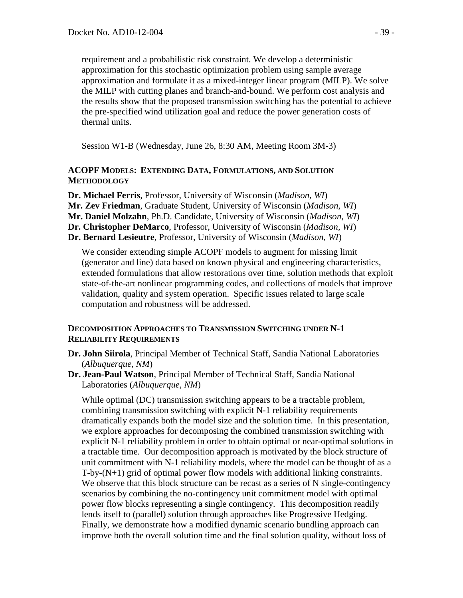requirement and a probabilistic risk constraint. We develop a deterministic approximation for this stochastic optimization problem using sample average approximation and formulate it as a mixed-integer linear program (MILP). We solve the MILP with cutting planes and branch-and-bound. We perform cost analysis and the results show that the proposed transmission switching has the potential to achieve the pre-specified wind utilization goal and reduce the power generation costs of thermal units.

Session W1-B (Wednesday, June 26, 8:30 AM, Meeting Room 3M-3)

# **ACOPF MODELS: EXTENDING DATA, FORMULATIONS, AND SOLUTION METHODOLOGY**

**Dr. Michael Ferris**, Professor, University of Wisconsin (*Madison, WI*) **Mr. Zev Friedman**, Graduate Student, University of Wisconsin (*Madison, WI*) **Mr. Daniel Molzahn**, Ph.D. Candidate, University of Wisconsin (*Madison, WI*) **Dr. Christopher DeMarco**, Professor, University of Wisconsin (*Madison, WI*) **Dr. Bernard Lesieutre**, Professor, University of Wisconsin (*Madison, WI*)

We consider extending simple ACOPF models to augment for missing limit (generator and line) data based on known physical and engineering characteristics, extended formulations that allow restorations over time, solution methods that exploit state-of-the-art nonlinear programming codes, and collections of models that improve validation, quality and system operation. Specific issues related to large scale computation and robustness will be addressed.

# **DECOMPOSITION APPROACHES TO TRANSMISSION SWITCHING UNDER N-1 RELIABILITY REQUIREMENTS**

- **Dr. John Siirola**, Principal Member of Technical Staff, Sandia National Laboratories (*Albuquerque, NM*)
- **Dr. Jean-Paul Watson**, Principal Member of Technical Staff, Sandia National Laboratories (*Albuquerque, NM*)

While optimal (DC) transmission switching appears to be a tractable problem, combining transmission switching with explicit N-1 reliability requirements dramatically expands both the model size and the solution time. In this presentation, we explore approaches for decomposing the combined transmission switching with explicit N-1 reliability problem in order to obtain optimal or near-optimal solutions in a tractable time. Our decomposition approach is motivated by the block structure of unit commitment with N-1 reliability models, where the model can be thought of as a T-by-(N+1) grid of optimal power flow models with additional linking constraints. We observe that this block structure can be recast as a series of N single-contingency scenarios by combining the no-contingency unit commitment model with optimal power flow blocks representing a single contingency. This decomposition readily lends itself to (parallel) solution through approaches like Progressive Hedging. Finally, we demonstrate how a modified dynamic scenario bundling approach can improve both the overall solution time and the final solution quality, without loss of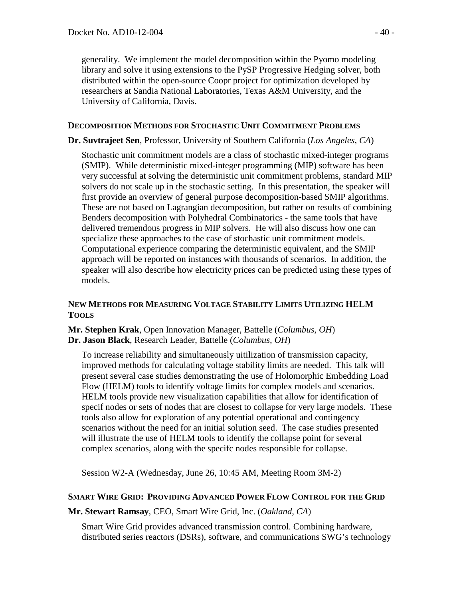generality. We implement the model decomposition within the Pyomo modeling library and solve it using extensions to the PySP Progressive Hedging solver, both distributed within the open-source Coopr project for optimization developed by researchers at Sandia National Laboratories, Texas A&M University, and the University of California, Davis.

## **DECOMPOSITION METHODS FOR STOCHASTIC UNIT COMMITMENT PROBLEMS**

**Dr. Suvtrajeet Sen**, Professor, University of Southern California (*Los Angeles, CA*)

Stochastic unit commitment models are a class of stochastic mixed-integer programs (SMIP). While deterministic mixed-integer programming (MIP) software has been very successful at solving the deterministic unit commitment problems, standard MIP solvers do not scale up in the stochastic setting. In this presentation, the speaker will first provide an overview of general purpose decomposition-based SMIP algorithms. These are not based on Lagrangian decomposition, but rather on results of combining Benders decomposition with Polyhedral Combinatorics - the same tools that have delivered tremendous progress in MIP solvers. He will also discuss how one can specialize these approaches to the case of stochastic unit commitment models. Computational experience comparing the deterministic equivalent, and the SMIP approach will be reported on instances with thousands of scenarios. In addition, the speaker will also describe how electricity prices can be predicted using these types of models.

# **NEW METHODS FOR MEASURING VOLTAGE STABILITY LIMITS UTILIZING HELM TOOLS**

**Mr. Stephen Krak**, Open Innovation Manager, Battelle (*Columbus, OH*) **Dr. Jason Black**, Research Leader, Battelle (*Columbus, OH*)

To increase reliability and simultaneously uitilization of transmission capacity, improved methods for calculating voltage stability limits are needed. This talk will present several case studies demonstrating the use of Holomorphic Embedding Load Flow (HELM) tools to identify voltage limits for complex models and scenarios. HELM tools provide new visualization capabilities that allow for identification of specif nodes or sets of nodes that are closest to collapse for very large models. These tools also allow for exploration of any potential operational and contingency scenarios without the need for an initial solution seed. The case studies presented will illustrate the use of HELM tools to identify the collapse point for several complex scenarios, along with the specifc nodes responsible for collapse.

Session W2-A (Wednesday, June 26, 10:45 AM, Meeting Room 3M-2)

# **SMART WIRE GRID: PROVIDING ADVANCED POWER FLOW CONTROL FOR THE GRID**

**Mr. Stewart Ramsay**, CEO, Smart Wire Grid, Inc. (*Oakland, CA*)

Smart Wire Grid provides advanced transmission control. Combining hardware, distributed series reactors (DSRs), software, and communications SWG's technology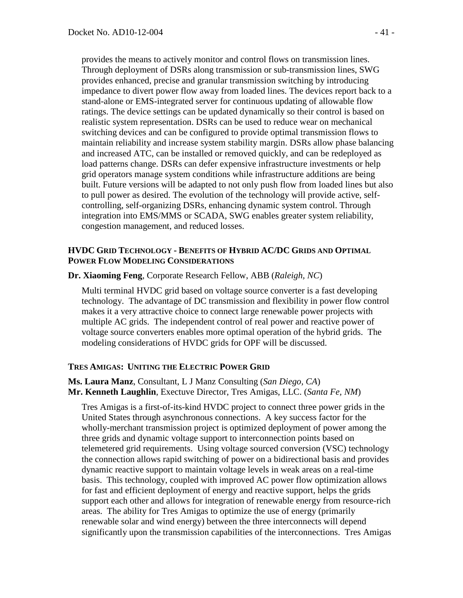provides the means to actively monitor and control flows on transmission lines. Through deployment of DSRs along transmission or sub-transmission lines, SWG provides enhanced, precise and granular transmission switching by introducing impedance to divert power flow away from loaded lines. The devices report back to a stand-alone or EMS-integrated server for continuous updating of allowable flow ratings. The device settings can be updated dynamically so their control is based on realistic system representation. DSRs can be used to reduce wear on mechanical switching devices and can be configured to provide optimal transmission flows to maintain reliability and increase system stability margin. DSRs allow phase balancing and increased ATC, can be installed or removed quickly, and can be redeployed as load patterns change. DSRs can defer expensive infrastructure investments or help grid operators manage system conditions while infrastructure additions are being built. Future versions will be adapted to not only push flow from loaded lines but also to pull power as desired. The evolution of the technology will provide active, selfcontrolling, self-organizing DSRs, enhancing dynamic system control. Through integration into EMS/MMS or SCADA, SWG enables greater system reliability, congestion management, and reduced losses.

#### **HVDC GRID TECHNOLOGY - BENEFITS OF HYBRID AC/DC GRIDS AND OPTIMAL POWER FLOW MODELING CONSIDERATIONS**

**Dr. Xiaoming Feng**, Corporate Research Fellow, ABB (*Raleigh, NC*)

Multi terminal HVDC grid based on voltage source converter is a fast developing technology. The advantage of DC transmission and flexibility in power flow control makes it a very attractive choice to connect large renewable power projects with multiple AC grids. The independent control of real power and reactive power of voltage source converters enables more optimal operation of the hybrid grids. The modeling considerations of HVDC grids for OPF will be discussed.

# **TRES AMIGAS: UNITING THE ELECTRIC POWER GRID**

**Ms. Laura Manz**, Consultant, L J Manz Consulting (*San Diego, CA*) **Mr. Kenneth Laughlin**, Exectuve Director, Tres Amigas, LLC. (*Santa Fe, NM*)

Tres Amigas is a first-of-its-kind HVDC project to connect three power grids in the United States through asynchronous connections. A key success factor for the wholly-merchant transmission project is optimized deployment of power among the three grids and dynamic voltage support to interconnection points based on telemetered grid requirements. Using voltage sourced conversion (VSC) technology the connection allows rapid switching of power on a bidirectional basis and provides dynamic reactive support to maintain voltage levels in weak areas on a real-time basis. This technology, coupled with improved AC power flow optimization allows for fast and efficient deployment of energy and reactive support, helps the grids support each other and allows for integration of renewable energy from resource-rich areas. The ability for Tres Amigas to optimize the use of energy (primarily renewable solar and wind energy) between the three interconnects will depend significantly upon the transmission capabilities of the interconnections. Tres Amigas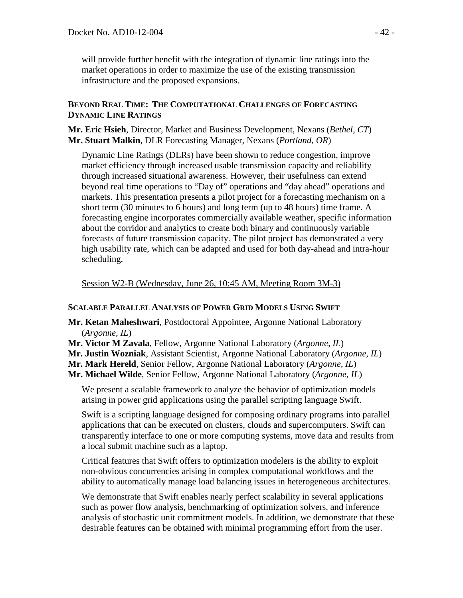will provide further benefit with the integration of dynamic line ratings into the market operations in order to maximize the use of the existing transmission infrastructure and the proposed expansions.

# **BEYOND REAL TIME: THE COMPUTATIONAL CHALLENGES OF FORECASTING DYNAMIC LINE RATINGS**

**Mr. Eric Hsieh**, Director, Market and Business Development, Nexans (*Bethel, CT*) **Mr. Stuart Malkin**, DLR Forecasting Manager, Nexans (*Portland, OR*)

Dynamic Line Ratings (DLRs) have been shown to reduce congestion, improve market efficiency through increased usable transmission capacity and reliability through increased situational awareness. However, their usefulness can extend beyond real time operations to "Day of" operations and "day ahead" operations and markets. This presentation presents a pilot project for a forecasting mechanism on a short term (30 minutes to 6 hours) and long term (up to 48 hours) time frame. A forecasting engine incorporates commercially available weather, specific information about the corridor and analytics to create both binary and continuously variable forecasts of future transmission capacity. The pilot project has demonstrated a very high usability rate, which can be adapted and used for both day-ahead and intra-hour scheduling.

Session W2-B (Wednesday, June 26, 10:45 AM, Meeting Room 3M-3)

# **SCALABLE PARALLEL ANALYSIS OF POWER GRID MODELS USING SWIFT**

- **Mr. Ketan Maheshwari**, Postdoctoral Appointee, Argonne National Laboratory (*Argonne, IL*)
- **Mr. Victor M Zavala**, Fellow, Argonne National Laboratory (*Argonne, IL*)

**Mr. Justin Wozniak**, Assistant Scientist, Argonne National Laboratory (*Argonne, IL*)

**Mr. Mark Hereld**, Senior Fellow, Argonne National Laboratory (*Argonne, IL*)

**Mr. Michael Wilde**, Senior Fellow, Argonne National Laboratory (*Argonne, IL*)

We present a scalable framework to analyze the behavior of optimization models arising in power grid applications using the parallel scripting language Swift.

Swift is a scripting language designed for composing ordinary programs into parallel applications that can be executed on clusters, clouds and supercomputers. Swift can transparently interface to one or more computing systems, move data and results from a local submit machine such as a laptop.

Critical features that Swift offers to optimization modelers is the ability to exploit non-obvious concurrencies arising in complex computational workflows and the ability to automatically manage load balancing issues in heterogeneous architectures.

We demonstrate that Swift enables nearly perfect scalability in several applications such as power flow analysis, benchmarking of optimization solvers, and inference analysis of stochastic unit commitment models. In addition, we demonstrate that these desirable features can be obtained with minimal programming effort from the user.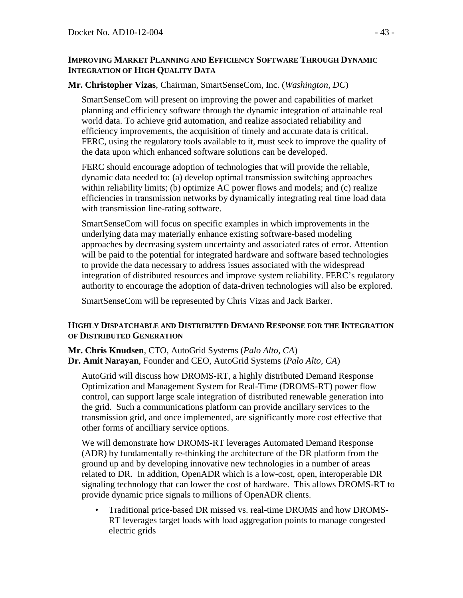## **IMPROVING MARKET PLANNING AND EFFICIENCY SOFTWARE THROUGH DYNAMIC INTEGRATION OF HIGH QUALITY DATA**

# **Mr. Christopher Vizas**, Chairman, SmartSenseCom, Inc. (*Washington, DC*)

SmartSenseCom will present on improving the power and capabilities of market planning and efficiency software through the dynamic integration of attainable real world data. To achieve grid automation, and realize associated reliability and efficiency improvements, the acquisition of timely and accurate data is critical. FERC, using the regulatory tools available to it, must seek to improve the quality of the data upon which enhanced software solutions can be developed.

FERC should encourage adoption of technologies that will provide the reliable, dynamic data needed to: (a) develop optimal transmission switching approaches within reliability limits; (b) optimize AC power flows and models; and (c) realize efficiencies in transmission networks by dynamically integrating real time load data with transmission line-rating software.

SmartSenseCom will focus on specific examples in which improvements in the underlying data may materially enhance existing software-based modeling approaches by decreasing system uncertainty and associated rates of error. Attention will be paid to the potential for integrated hardware and software based technologies to provide the data necessary to address issues associated with the widespread integration of distributed resources and improve system reliability. FERC's regulatory authority to encourage the adoption of data-driven technologies will also be explored.

SmartSenseCom will be represented by Chris Vizas and Jack Barker.

# **HIGHLY DISPATCHABLE AND DISTRIBUTED DEMAND RESPONSE FOR THE INTEGRATION OF DISTRIBUTED GENERATION**

**Mr. Chris Knudsen**, CTO, AutoGrid Systems (*Palo Alto, CA*) **Dr. Amit Narayan**, Founder and CEO, AutoGrid Systems (*Palo Alto, CA*)

AutoGrid will discuss how DROMS-RT, a highly distributed Demand Response Optimization and Management System for Real-Time (DROMS-RT) power flow control, can support large scale integration of distributed renewable generation into the grid. Such a communications platform can provide ancillary services to the transmission grid, and once implemented, are significantly more cost effective that other forms of ancilliary service options.

We will demonstrate how DROMS-RT leverages Automated Demand Response (ADR) by fundamentally re-thinking the architecture of the DR platform from the ground up and by developing innovative new technologies in a number of areas related to DR. In addition, OpenADR which is a low-cost, open, interoperable DR signaling technology that can lower the cost of hardware. This allows DROMS-RT to provide dynamic price signals to millions of OpenADR clients.

• Traditional price-based DR missed vs. real-time DROMS and how DROMS-RT leverages target loads with load aggregation points to manage congested electric grids